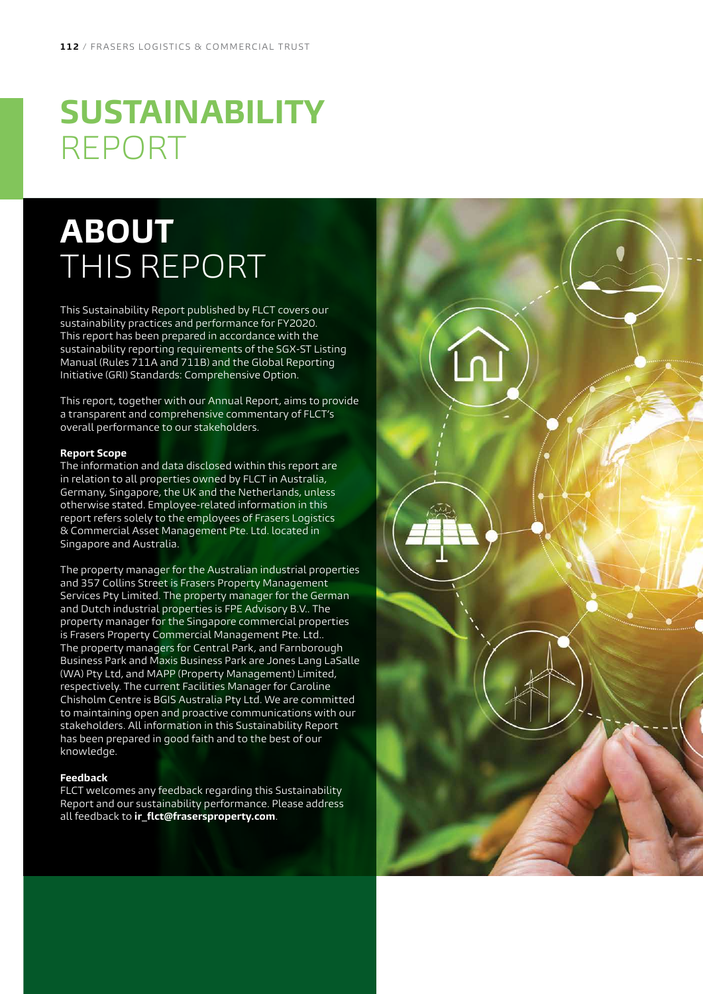# <span id="page-0-0"></span>**SUSTAINABILITY** REPORT

# **ABOUT**  THIS REPORT

This Sustainability Report published by FLCT covers our sustainability practices and performance for FY2020. This report has been prepared in accordance with the sustainability reporting requirements of the SGX-ST Listing Manual (Rules 711A and 711B) and the Global Reporting Initiative (GRI) Standards: Comprehensive Option.

This report, together with our Annual Report, aims to provide a transparent and comprehensive commentary of FLCT's overall performance to our stakeholders.

#### **Report Scope**

The information and data disclosed within this report are in relation to all properties owned by FLCT in Australia, Germany, Singapore, the UK and the Netherlands, unless otherwise stated. Employee-related information in this report refers solely to the employees of Frasers Logistics & Commercial Asset Management Pte. Ltd. located in Singapore and Australia.

The property manager for the Australian industrial properties and 357 Collins Street is Frasers Property Management Services Pty Limited. The property manager for the German and Dutch industrial properties is FPE Advisory B.V.. The property manager for the Singapore commercial properties is Frasers Property Commercial Management Pte. Ltd.. The property managers for Central Park, and Farnborough Business Park and Maxis Business Park are Jones Lang LaSalle (WA) Pty Ltd, and MAPP (Property Management) Limited, respectively. The current Facilities Manager for Caroline Chisholm Centre is BGIS Australia Pty Ltd. We are committed to maintaining open and proactive communications with our stakeholders. All information in this Sustainability Report has been prepared in good faith and to the best of our knowledge.

#### **Feedback**

FLCT welcomes any feedback regarding this Sustainability Report and our sustainability performance. Please address all feedback to **ir\_flct@frasersproperty.com**.

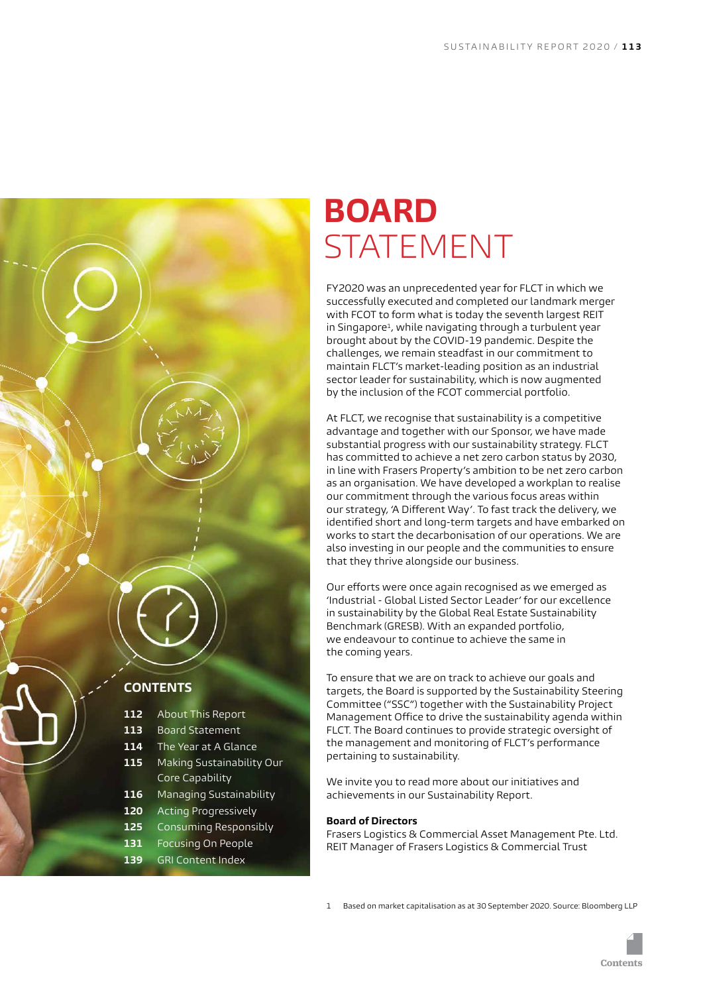<span id="page-1-0"></span>

- **112** [About This Report](#page-0-0)
- **113** Board Statement
- **114** [The Year at A Glance](#page-2-0)
- **115** [Making Sustainability Our](#page-3-0)  [Core Capability](#page-3-0)
- **116** [Managing Sustainability](#page-4-0)
- **120** [Acting Progressively](#page-8-0)
- **125** [Consuming Responsibly](#page-13-0)
- **131** [Focusing On People](#page-19-0)
- **139** [GRI Content Index](#page-27-0)

## **BOARD**  STATEMENT

FY2020 was an unprecedented year for FLCT in which we successfully executed and completed our landmark merger with FCOT to form what is today the seventh largest REIT in Singapore<sup>1</sup>, while navigating through a turbulent year brought about by the COVID-19 pandemic. Despite the challenges, we remain steadfast in our commitment to maintain FLCT's market-leading position as an industrial sector leader for sustainability, which is now augmented by the inclusion of the FCOT commercial portfolio.

At FLCT, we recognise that sustainability is a competitive advantage and together with our Sponsor, we have made substantial progress with our sustainability strategy. FLCT has committed to achieve a net zero carbon status by 2030, in line with Frasers Property's ambition to be net zero carbon as an organisation. We have developed a workplan to realise our commitment through the various focus areas within our strategy, 'A Different Way'. To fast track the delivery, we identified short and long-term targets and have embarked on works to start the decarbonisation of our operations. We are also investing in our people and the communities to ensure that they thrive alongside our business.

Our efforts were once again recognised as we emerged as 'Industrial - Global Listed Sector Leader' for our excellence in sustainability by the Global Real Estate Sustainability Benchmark (GRESB). With an expanded portfolio, we endeavour to continue to achieve the same in the coming years.

To ensure that we are on track to achieve our goals and targets, the Board is supported by the Sustainability Steering Committee ("SSC") together with the Sustainability Project Management Office to drive the sustainability agenda within FLCT. The Board continues to provide strategic oversight of the management and monitoring of FLCT's performance pertaining to sustainability.

We invite you to read more about our initiatives and achievements in our Sustainability Report.

#### **Board of Directors**

Frasers Logistics & Commercial Asset Management Pte. Ltd. REIT Manager of Frasers Logistics & Commercial Trust

1 Based on market capitalisation as at 30 September 2020. Source: Bloomberg LLP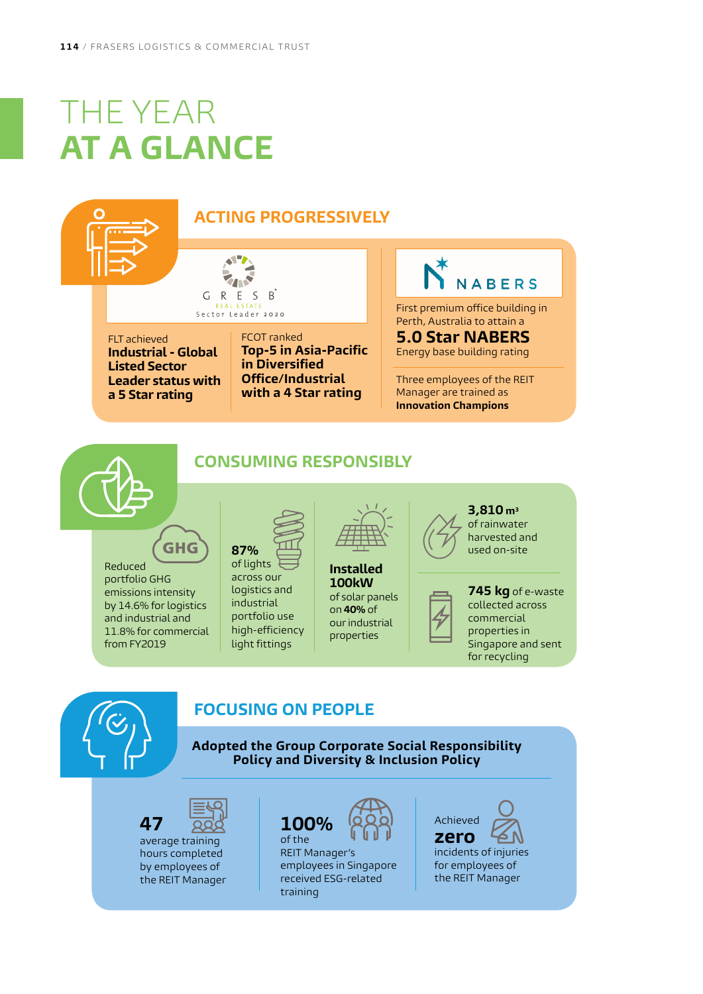# <span id="page-2-0"></span>THE YEAR **AT A GLANCE**

## **ACTING PROGRESSIVELY**

T G R E S B Sector Leader 2020

FLT achieved **Industrial - Global Listed Sector Leader status with a 5 Star rating**

#### FCOT ranked **Top-5 in Asia-Pacific in Diversified Office/Industrial with a 4 Star rating**

# **NABERS**

First premium office building in Perth, Australia to attain a

**5.0 Star NABERS** Energy base building rating

Three employees of the REIT Manager are trained as **Innovation Champions**

## **CONSUMING RESPONSIBLY**

**GHG** Reduced portfolio GHG emissions intensity by 14.6% for logistics and industrial and 11.8% for commercial

from FY2019



across our logistics and industrial portfolio use high-efficiency light fittings

**Installed 100kW**  of solar panels on **40%** of our industrial properties



harvested and used on-site





## **FOCUSING ON PEOPLE**

**Adopted the Group Corporate Social Responsibility Policy and Diversity & Inclusion Policy**

**47**  average training hours completed by employees of the REIT Manager



REIT Manager's employees in Singapore received ESG-related training

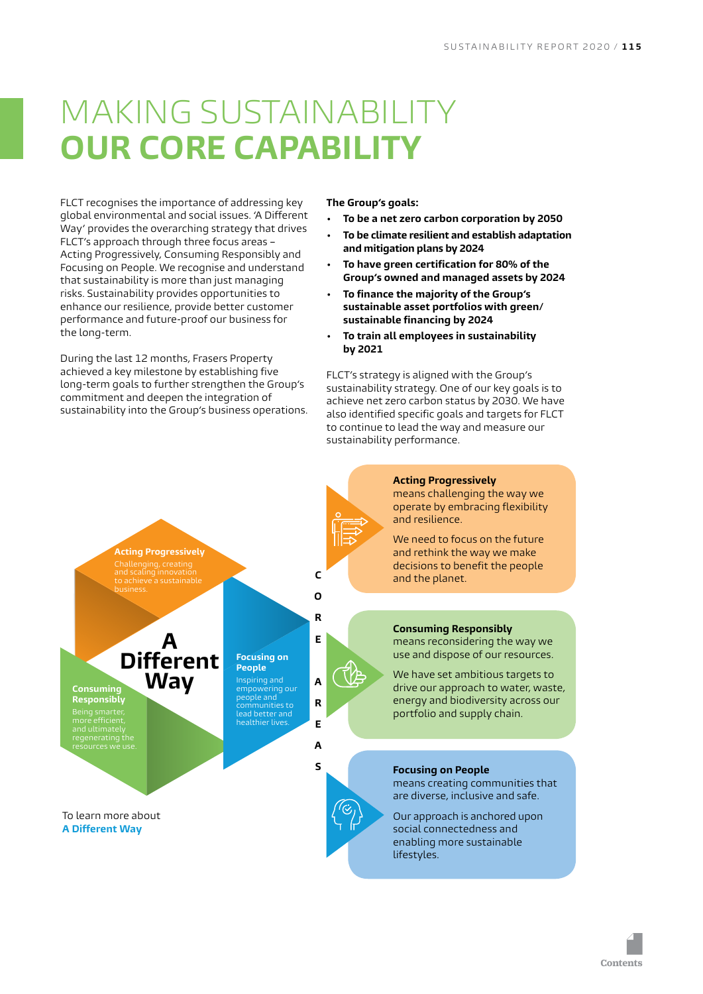# <span id="page-3-0"></span>MAKING SUSTAINABIL **OUR CORE CAPABILIT**

FLCT recognises the importance of addressing key global environmental and social issues. 'A Different Way' provides the overarching strategy that drives FLCT's approach through three focus areas – Acting Progressively, Consuming Responsibly and Focusing on People. We recognise and understand that sustainability is more than just managing risks. Sustainability provides opportunities to enhance our resilience, provide better customer performance and future-proof our business for the long-term.

During the last 12 months, Frasers Property achieved a key milestone by establishing five long-term goals to further strengthen the Group's commitment and deepen the integration of sustainability into the Group's business operations. **The Group's goals:**

- **• To be a net zero carbon corporation by 2050**
- **• To be climate resilient and establish adaptation and mitigation plans by 2024**
- **• To have green certification for 80% of the Group's owned and managed assets by 2024**
- **• To finance the majority of the Group's sustainable asset portfolios with green/ sustainable financing by 2024**
- **• To train all employees in sustainability by 2021**

FLCT's strategy is aligned with the Group's sustainability strategy. One of our key goals is to achieve net zero carbon status by 2030. We have also identified specific goals and targets for FLCT to continue to lead the way and measure our sustainability performance.



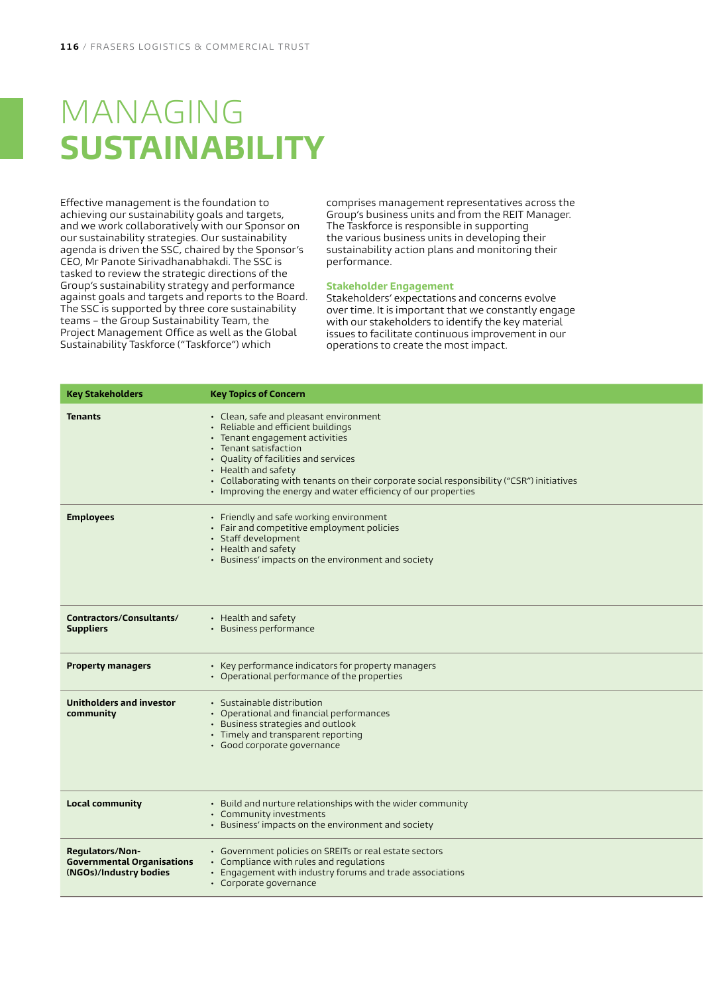# <span id="page-4-0"></span>MANAGING **SUSTAINABILITY**

Effective management is the foundation to achieving our sustainability goals and targets, and we work collaboratively with our Sponsor on our sustainability strategies. Our sustainability agenda is driven the SSC, chaired by the Sponsor's CEO, Mr Panote Sirivadhanabhakdi. The SSC is tasked to review the strategic directions of the Group's sustainability strategy and performance against goals and targets and reports to the Board. The SSC is supported by three core sustainability teams – the Group Sustainability Team, the Project Management Office as well as the Global Sustainability Taskforce ("Taskforce") which

comprises management representatives across the Group's business units and from the REIT Manager. The Taskforce is responsible in supporting the various business units in developing their sustainability action plans and monitoring their performance.

#### **Stakeholder Engagement**

Stakeholders' expectations and concerns evolve over time. It is important that we constantly engage with our stakeholders to identify the key material issues to facilitate continuous improvement in our operations to create the most impact.

| Key Stakeholders                                                               | <b>Key Topics of Concern</b>                                                                                                                                                                                                                                                                                                                                         |
|--------------------------------------------------------------------------------|----------------------------------------------------------------------------------------------------------------------------------------------------------------------------------------------------------------------------------------------------------------------------------------------------------------------------------------------------------------------|
| <b>Tenants</b>                                                                 | • Clean, safe and pleasant environment<br>• Reliable and efficient buildings<br>• Tenant engagement activities<br>• Tenant satisfaction<br>• Quality of facilities and services<br>• Health and safety<br>· Collaborating with tenants on their corporate social responsibility ("CSR") initiatives<br>• Improving the energy and water efficiency of our properties |
| <b>Employees</b>                                                               | • Friendly and safe working environment<br>• Fair and competitive employment policies<br>· Staff development<br>• Health and safety<br>• Business' impacts on the environment and society                                                                                                                                                                            |
| Contractors/Consultants/<br><b>Suppliers</b>                                   | • Health and safety<br>· Business performance                                                                                                                                                                                                                                                                                                                        |
| <b>Property managers</b>                                                       | • Key performance indicators for property managers<br>• Operational performance of the properties                                                                                                                                                                                                                                                                    |
| Unitholders and investor<br>community                                          | · Sustainable distribution<br>• Operational and financial performances<br>• Business strategies and outlook<br>• Timely and transparent reporting<br>· Good corporate governance                                                                                                                                                                                     |
| <b>Local community</b>                                                         | • Build and nurture relationships with the wider community<br>• Community investments<br>• Business' impacts on the environment and society                                                                                                                                                                                                                          |
| Regulators/Non-<br><b>Governmental Organisations</b><br>(NGOs)/Industry bodies | • Government policies on SREITs or real estate sectors<br>• Compliance with rules and regulations<br>• Engagement with industry forums and trade associations<br>• Corporate governance                                                                                                                                                                              |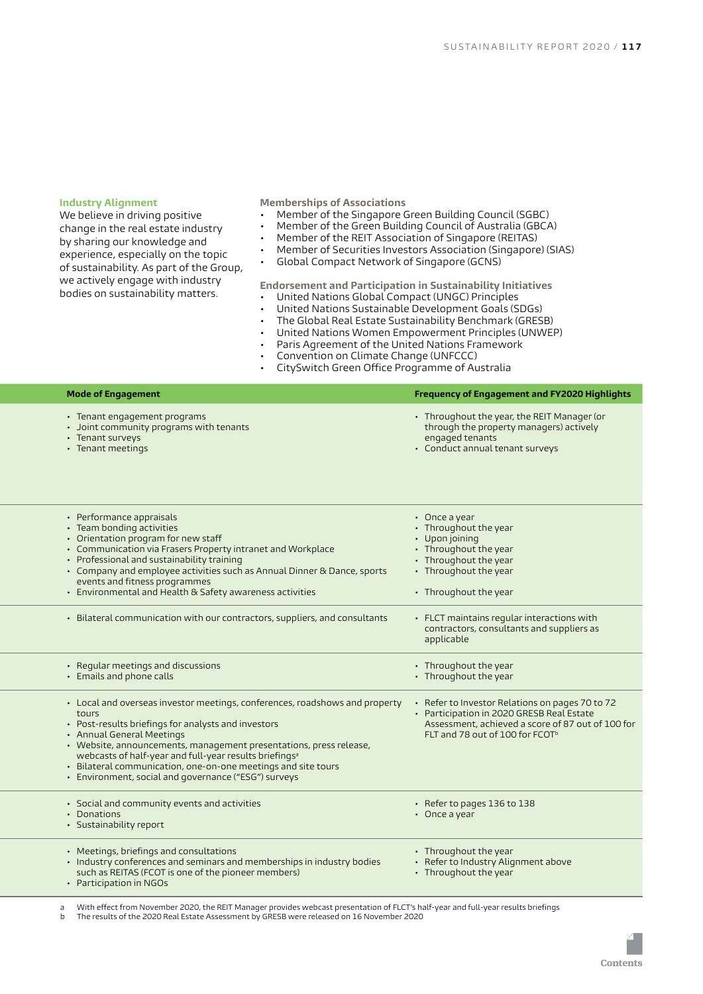#### **Industry Alignment**

We believe in driving positive change in the real estate industry by sharing our knowledge and experience, especially on the topic of sustainability. As part of the Group, we actively engage with industry bodies on sustainability matters.

#### **Memberships of Associations**

- Member of the Singapore Green Building Council (SGBC)
- Member of the Green Building Council of Australia (GBCA)<br>• Member of the REIT Association of Singapore (REITAS)
- Member of the REIT Association of Singapore (REITAS)
- Member of Securities Investors Association (Singapore) (SIAS)
- Global Compact Network of Singapore (GCNS)

**Endorsement and Participation in Sustainability Initiatives**

- United Nations Global Compact (UNGC) Principles
- United Nations Sustainable Development Goals (SDGs)
- The Global Real Estate Sustainability Benchmark (GRESB)
- United Nations Women Empowerment Principles (UNWEP)
- Paris Agreement of the United Nations Framework
- Convention on Climate Change (UNFCCC)
- CitySwitch Green Office Programme of Australia

|             | <b>Mode of Engagement</b>                                                                                                                                                                                                                                                                                                                                                                                                            | Frequency of Engagement and FY2020 Highlights                                                                                                                                                    |
|-------------|--------------------------------------------------------------------------------------------------------------------------------------------------------------------------------------------------------------------------------------------------------------------------------------------------------------------------------------------------------------------------------------------------------------------------------------|--------------------------------------------------------------------------------------------------------------------------------------------------------------------------------------------------|
|             | • Tenant engagement programs<br>• Joint community programs with tenants<br>• Tenant surveys<br>• Tenant meetings                                                                                                                                                                                                                                                                                                                     | • Throughout the year, the REIT Manager (or<br>through the property managers) actively<br>engaged tenants<br>• Conduct annual tenant surveys                                                     |
|             | • Performance appraisals<br>• Team bonding activities<br>• Orientation program for new staff<br>• Communication via Frasers Property intranet and Workplace<br>• Professional and sustainability training<br>• Company and employee activities such as Annual Dinner & Dance, sports<br>events and fitness programmes<br>• Environmental and Health & Safety awareness activities                                                    | $\cdot$ Once a year<br>• Throughout the year<br>$\cdot$ Upon joining<br>• Throughout the year<br>• Throughout the year<br>• Throughout the year<br>• Throughout the year                         |
|             | • Bilateral communication with our contractors, suppliers, and consultants                                                                                                                                                                                                                                                                                                                                                           | • FLCT maintains regular interactions with<br>contractors, consultants and suppliers as<br>applicable                                                                                            |
|             | • Regular meetings and discussions<br>• Emails and phone calls                                                                                                                                                                                                                                                                                                                                                                       | • Throughout the year<br>• Throughout the year                                                                                                                                                   |
| tours       | • Local and overseas investor meetings, conferences, roadshows and property<br>• Post-results briefings for analysts and investors<br>· Annual General Meetings<br>• Website, announcements, management presentations, press release,<br>webcasts of half-year and full-year results briefings <sup>a</sup><br>· Bilateral communication, one-on-one meetings and site tours<br>• Environment, social and governance ("ESG") surveys | • Refer to Investor Relations on pages 70 to 72<br>• Participation in 2020 GRESB Real Estate<br>Assessment, achieved a score of 87 out of 100 for<br>FLT and 78 out of 100 for FCOT <sup>b</sup> |
| • Donations | • Social and community events and activities<br>· Sustainability report                                                                                                                                                                                                                                                                                                                                                              | • Refer to pages 136 to 138<br>$\cdot$ Once a year                                                                                                                                               |
|             | • Meetings, briefings and consultations<br>• Industry conferences and seminars and memberships in industry bodies<br>such as REITAS (FCOT is one of the pioneer members)<br>• Participation in NGOs                                                                                                                                                                                                                                  | • Throughout the year<br>• Refer to Industry Alignment above<br>• Throughout the year                                                                                                            |

a — With effect from November 2020, the REIT Manager provides webcast presentation of FLCT's half-year and full-year results briefings<br>b — The results of the 2020 Real Estate Assessment by GRESB were released on 16 Novembe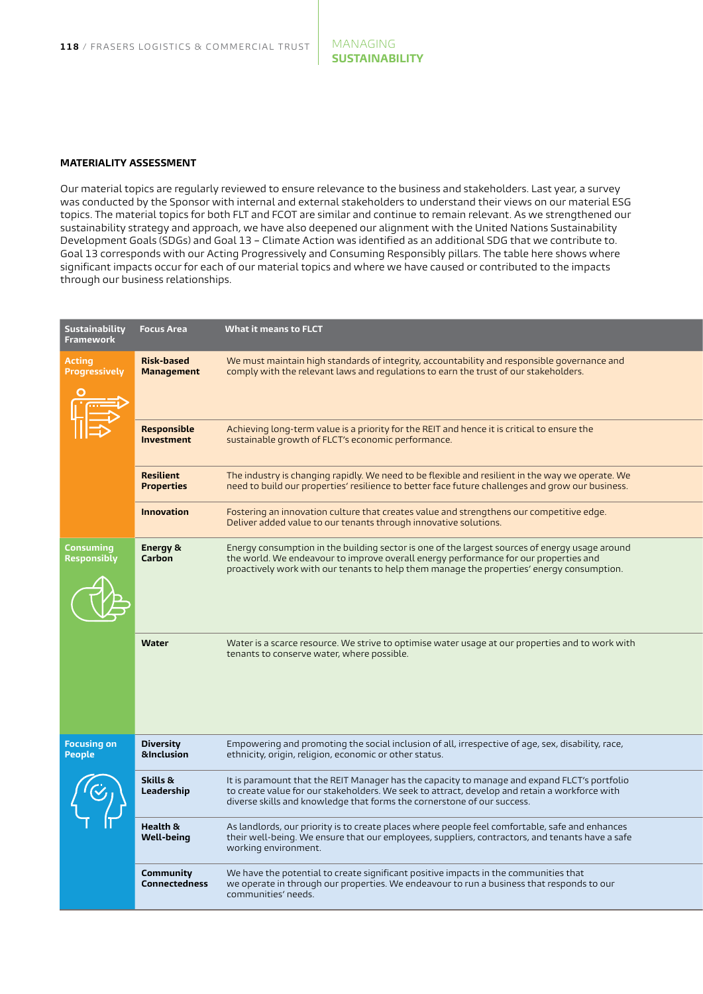#### **MATERIALITY ASSESSMENT**

Our material topics are regularly reviewed to ensure relevance to the business and stakeholders. Last year, a survey was conducted by the Sponsor with internal and external stakeholders to understand their views on our material ESG topics. The material topics for both FLT and FCOT are similar and continue to remain relevant. As we strengthened our sustainability strategy and approach, we have also deepened our alignment with the United Nations Sustainability Development Goals (SDGs) and Goal 13 – Climate Action was identified as an additional SDG that we contribute to. Goal 13 corresponds with our Acting Progressively and Consuming Responsibly pillars. The table here shows where significant impacts occur for each of our material topics and where we have caused or contributed to the impacts through our business relationships.

| Sustainability<br>Framework    | <b>Focus Area</b>                      | <b>What it means to FLCT</b>                                                                                                                                                                                                                                                        |  |
|--------------------------------|----------------------------------------|-------------------------------------------------------------------------------------------------------------------------------------------------------------------------------------------------------------------------------------------------------------------------------------|--|
| Acting<br><b>Progressively</b> | <b>Risk-based</b><br><b>Management</b> | We must maintain high standards of integrity, accountability and responsible governance and<br>comply with the relevant laws and regulations to earn the trust of our stakeholders.                                                                                                 |  |
|                                | Responsible<br>Investment              | Achieving long-term value is a priority for the REIT and hence it is critical to ensure the<br>sustainable growth of FLCT's economic performance.                                                                                                                                   |  |
|                                | Resilient<br><b>Properties</b>         | The industry is changing rapidly. We need to be flexible and resilient in the way we operate. We<br>need to build our properties' resilience to better face future challenges and grow our business.                                                                                |  |
|                                | <b>Innovation</b>                      | Fostering an innovation culture that creates value and strengthens our competitive edge.<br>Deliver added value to our tenants through innovative solutions.                                                                                                                        |  |
| Consuming<br>Responsibly       | Energy &<br>Carbon                     | Energy consumption in the building sector is one of the largest sources of energy usage around<br>the world. We endeavour to improve overall energy performance for our properties and<br>proactively work with our tenants to help them manage the properties' energy consumption. |  |
|                                | Water                                  | Water is a scarce resource. We strive to optimise water usage at our properties and to work with<br>tenants to conserve water, where possible.                                                                                                                                      |  |
| <b>Focusing on</b><br>People   | Diversity<br>&Inclusion                | Empowering and promoting the social inclusion of all, irrespective of age, sex, disability, race,<br>ethnicity, origin, religion, economic or other status.                                                                                                                         |  |
|                                | Skills &<br>Leadership                 | It is paramount that the REIT Manager has the capacity to manage and expand FLCT's portfolio<br>to create value for our stakeholders. We seek to attract, develop and retain a workforce with<br>diverse skills and knowledge that forms the cornerstone of our success.            |  |
|                                | Health &<br>Well-being                 | As landlords, our priority is to create places where people feel comfortable, safe and enhances<br>their well-being. We ensure that our employees, suppliers, contractors, and tenants have a safe<br>working environment.                                                          |  |
|                                | Community<br>Connectedness             | We have the potential to create significant positive impacts in the communities that<br>we operate in through our properties. We endeavour to run a business that responds to our<br>communities' needs.                                                                            |  |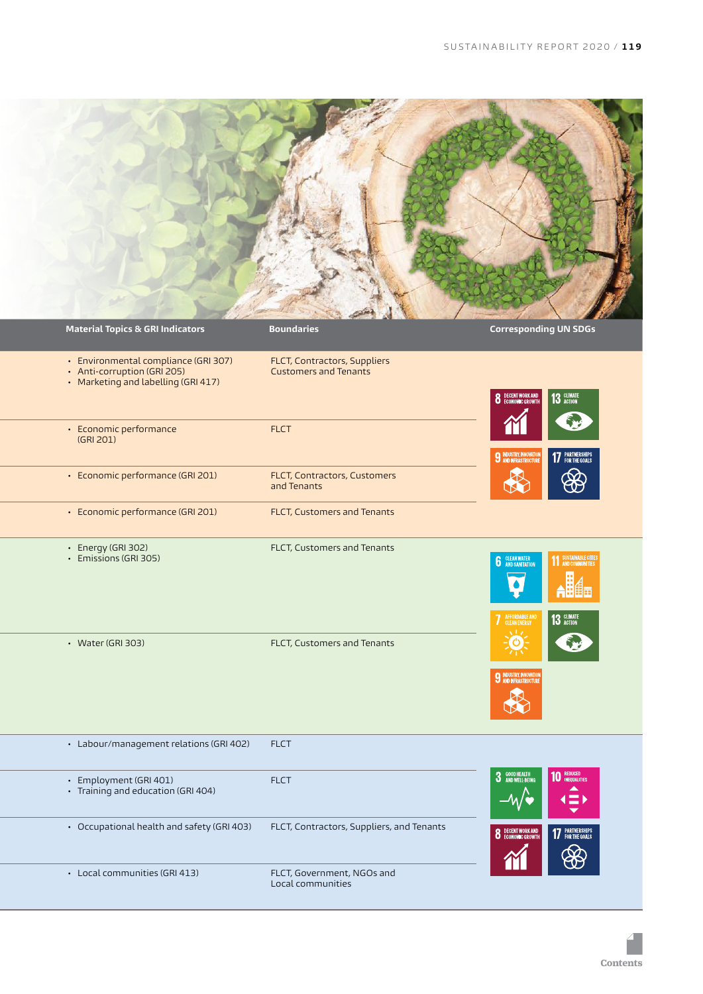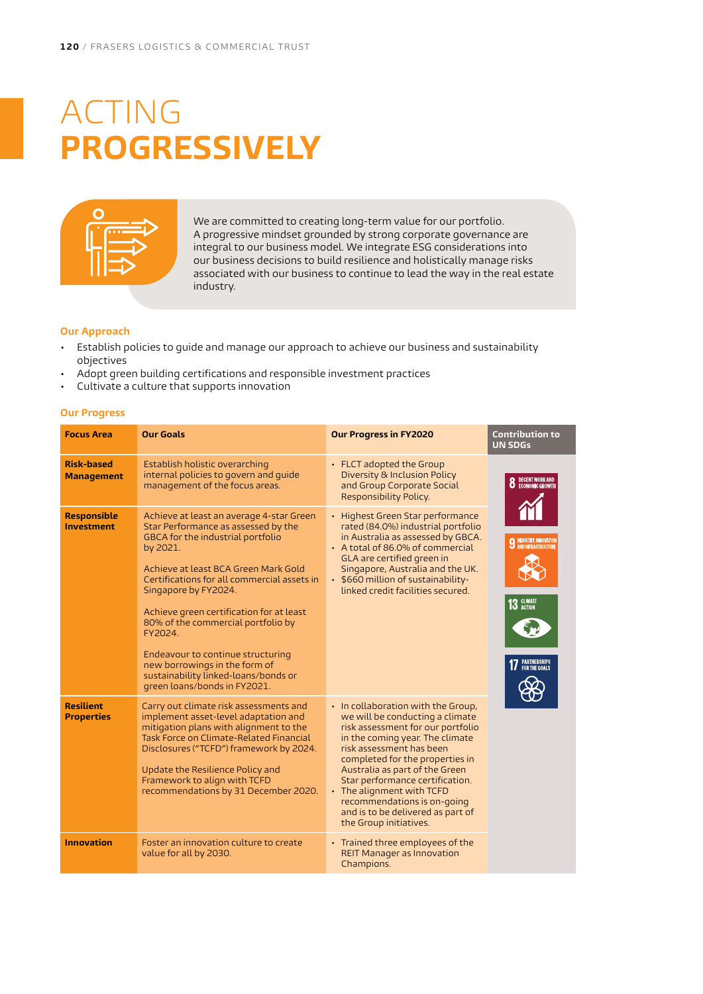# <span id="page-8-0"></span>ACTING **PROGRESSIVELY**



We are committed to creating long-term value for our portfolio. A progressive mindset grounded by strong corporate governance are integral to our business model. We integrate ESG considerations into our business decisions to build resilience and holistically manage risks associated with our business to continue to lead the way in the real estate industry.

#### **Our Approach**

- Establish policies to guide and manage our approach to achieve our business and sustainability objectives
- Adopt green building certifications and responsible investment practices
- Cultivate a culture that supports innovation

#### **Our Progress**

| <b>Focus Area</b>                                                                                                                                                                                                                                                                                                                                                                                                                                                                                                                            | <b>Our Goals</b>                                                                                                                                                                                                                                                                                                           | <b>Our Progress in FY2020</b>                                                                                                                                                                                                                                                                                                                                                                                | <b>Contribution to</b><br><b>UN SDGs</b>                                                                |  |
|----------------------------------------------------------------------------------------------------------------------------------------------------------------------------------------------------------------------------------------------------------------------------------------------------------------------------------------------------------------------------------------------------------------------------------------------------------------------------------------------------------------------------------------------|----------------------------------------------------------------------------------------------------------------------------------------------------------------------------------------------------------------------------------------------------------------------------------------------------------------------------|--------------------------------------------------------------------------------------------------------------------------------------------------------------------------------------------------------------------------------------------------------------------------------------------------------------------------------------------------------------------------------------------------------------|---------------------------------------------------------------------------------------------------------|--|
| <b>Risk-based</b><br><b>Management</b>                                                                                                                                                                                                                                                                                                                                                                                                                                                                                                       | Establish holistic overarching<br>internal policies to govern and quide<br>management of the focus areas.                                                                                                                                                                                                                  | • FLCT adopted the Group<br>Diversity & Inclusion Policy<br>and Group Corporate Social<br>Responsibility Policy.                                                                                                                                                                                                                                                                                             | DECENT WORK AND<br>ECONOMIC GROWTH                                                                      |  |
| <b>Responsible</b><br>Achieve at least an average 4-star Green<br><b>Investment</b><br>Star Performance as assessed by the<br><b>GBCA</b> for the industrial portfolio<br>by 2021.<br>Achieve at least BCA Green Mark Gold<br>Certifications for all commercial assets in<br>Singapore by FY2024.<br>Achieve green certification for at least<br>80% of the commercial portfolio by<br>FY2024.<br>Endeavour to continue structuring<br>new borrowings in the form of<br>sustainability linked-loans/bonds or<br>green loans/bonds in FY2021. |                                                                                                                                                                                                                                                                                                                            | • Highest Green Star performance<br>rated (84.0%) industrial portfolio<br>in Australia as assessed by GBCA.<br>• A total of 86.0% of commercial<br>GLA are certified green in<br>Singapore, Australia and the UK.<br>• \$660 million of sustainability-<br>linked credit facilities secured.                                                                                                                 | <b>INDUSTRY, INNOVATIO</b><br><b>LAND INFRASTRUCTURE</b><br>13 GLIMATE<br>PARTNERSHIPS<br>For the goals |  |
| <b>Resilient</b><br><b>Properties</b>                                                                                                                                                                                                                                                                                                                                                                                                                                                                                                        | Carry out climate risk assessments and<br>implement asset-level adaptation and<br>mitigation plans with alignment to the<br>Task Force on Climate-Related Financial<br>Disclosures ("TCFD") framework by 2024.<br>Update the Resilience Policy and<br>Framework to align with TCFD<br>recommendations by 31 December 2020. | • In collaboration with the Group,<br>we will be conducting a climate<br>risk assessment for our portfolio<br>in the coming year. The climate<br>risk assessment has been<br>completed for the properties in<br>Australia as part of the Green<br>Star performance certification.<br>• The alignment with TCFD<br>recommendations is on-going<br>and is to be delivered as part of<br>the Group initiatives. |                                                                                                         |  |
| <b>Innovation</b>                                                                                                                                                                                                                                                                                                                                                                                                                                                                                                                            | Foster an innovation culture to create<br>value for all by 2030.                                                                                                                                                                                                                                                           | • Trained three employees of the<br><b>REIT Manager as Innovation</b><br>Champions.                                                                                                                                                                                                                                                                                                                          |                                                                                                         |  |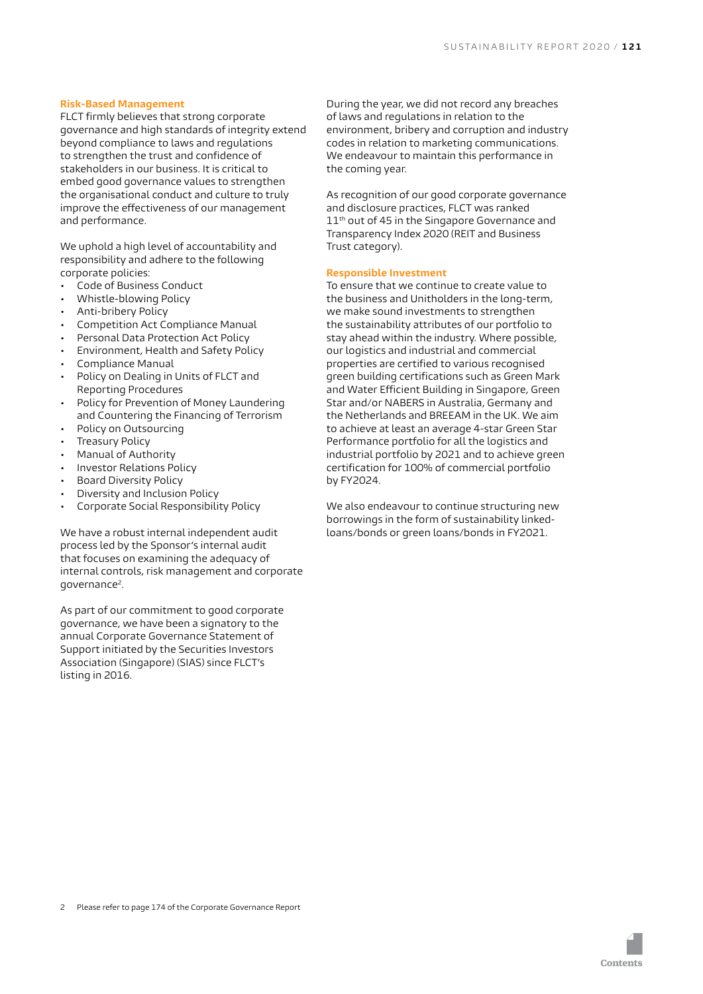#### **Risk-Based Management**

FLCT firmly believes that strong corporate governance and high standards of integrity extend beyond compliance to laws and regulations to strengthen the trust and confidence of stakeholders in our business. It is critical to embed good governance values to strengthen the organisational conduct and culture to truly improve the effectiveness of our management and performance.

We uphold a high level of accountability and responsibility and adhere to the following corporate policies:

- Code of Business Conduct
- Whistle-blowing Policy
- Anti-bribery Policy
- Competition Act Compliance Manual
- Personal Data Protection Act Policy
- Environment, Health and Safety Policy
- Compliance Manual
- Policy on Dealing in Units of FLCT and Reporting Procedures
- Policy for Prevention of Money Laundering and Countering the Financing of Terrorism
- Policy on Outsourcing
- Treasury Policy
- Manual of Authority
- Investor Relations Policy
- Board Diversity Policy
- Diversity and Inclusion Policy
- Corporate Social Responsibility Policy

We have a robust internal independent audit process led by the Sponsor's internal audit that focuses on examining the adequacy of internal controls, risk management and corporate governance2.

As part of our commitment to good corporate governance, we have been a signatory to the annual Corporate Governance Statement of Support initiated by the Securities Investors Association (Singapore) (SIAS) since FLCT's listing in 2016.

During the year, we did not record any breaches of laws and regulations in relation to the environment, bribery and corruption and industry codes in relation to marketing communications. We endeavour to maintain this performance in the coming year.

As recognition of our good corporate governance and disclosure practices, FLCT was ranked 11<sup>th</sup> out of 45 in the Singapore Governance and Transparency Index 2020 (REIT and Business Trust category).

#### **Responsible Investment**

To ensure that we continue to create value to the business and Unitholders in the long-term, we make sound investments to strengthen the sustainability attributes of our portfolio to stay ahead within the industry. Where possible, our logistics and industrial and commercial properties are certified to various recognised green building certifications such as Green Mark and Water Efficient Building in Singapore, Green Star and/or NABERS in Australia, Germany and the Netherlands and BREEAM in the UK. We aim to achieve at least an average 4-star Green Star Performance portfolio for all the logistics and industrial portfolio by 2021 and to achieve green certification for 100% of commercial portfolio by FY2024.

We also endeavour to continue structuring new borrowings in the form of sustainability linkedloans/bonds or green loans/bonds in FY2021.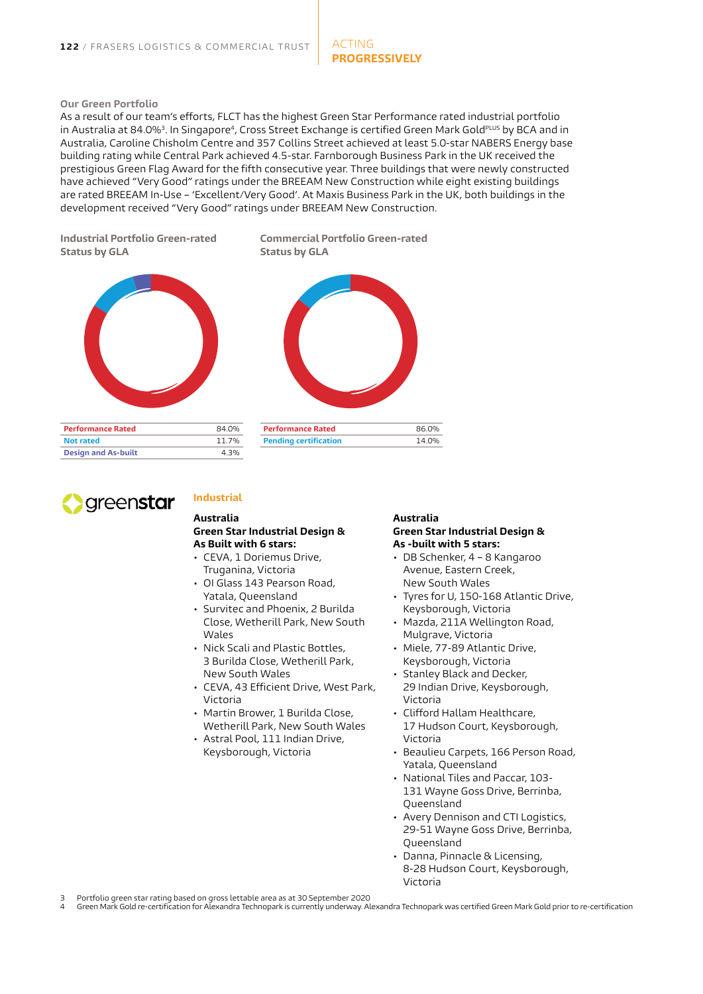#### **Our Green Portfolio**

As a result of our team's efforts, FLCT has the highest Green Star Performance rated industrial portfolio in Australia at 84.0%3. In Singapore4, Cross Street Exchange is certified Green Mark GoldPLUS by BCA and in Australia, Caroline Chisholm Centre and 357 Collins Street achieved at least 5.0-star NABERS Energy base building rating while Central Park achieved 4.5-star. Farnborough Business Park in the UK received the prestigious Green Flag Award for the fifth consecutive year. Three buildings that were newly constructed have achieved "Very Good" ratings under the BREEAM New Construction while eight existing buildings are rated BREEAM In-Use – 'Excellent/Very Good'. At Maxis Business Park in the UK, both buildings in the development received "Very Good" ratings under BREEAM New Construction.

**Industrial Portfolio Green-rated Status by GLA**



**Performance Rated** 84.0% **Not rated** 11.7% **Design and As-built** 4.3% **Commercial Portfolio Green-rated Status by GLA**

# **Performance Rated** 86.0% **Pending certification** 14.0%



### **Industrial**

#### **Australia Green Star Industrial Design & As Built with 6 stars:**

- CEVA, 1 Doriemus Drive, Truganina, Victoria
- OI Glass 143 Pearson Road, Yatala, Queensland
- Survitec and Phoenix, 2 Burilda Close, Wetherill Park, New South Wales
- Nick Scali and Plastic Bottles, 3 Burilda Close, Wetherill Park, New South Wales
- CEVA, 43 Efficient Drive, West Park, Victoria
- Martin Brower, 1 Burilda Close, Wetherill Park, New South Wales
- Astral Pool, 111 Indian Drive, Keysborough, Victoria

#### **Australia Green Star Industrial Design & As -built with 5 stars:**

- DB Schenker, 4 8 Kangaroo Avenue, Eastern Creek, New South Wales
- Tyres for U, 150-168 Atlantic Drive, Keysborough, Victoria
- Mazda, 211A Wellington Road, Mulgrave, Victoria
- Miele, 77-89 Atlantic Drive, Keysborough, Victoria
- Stanley Black and Decker, 29 Indian Drive, Keysborough, Victoria
- Clifford Hallam Healthcare, 17 Hudson Court, Keysborough, Victoria
- Beaulieu Carpets, 166 Person Road, Yatala, Queensland
- National Tiles and Paccar, 103- 131 Wayne Goss Drive, Berrinba, Queensland
- Avery Dennison and CTI Logistics, 29-51 Wayne Goss Drive, Berrinba, Queensland
- Danna, Pinnacle & Licensing, 8-28 Hudson Court, Keysborough, Victoria

3 Portfolio green star rating based on gross lettable area as at 30 September 2020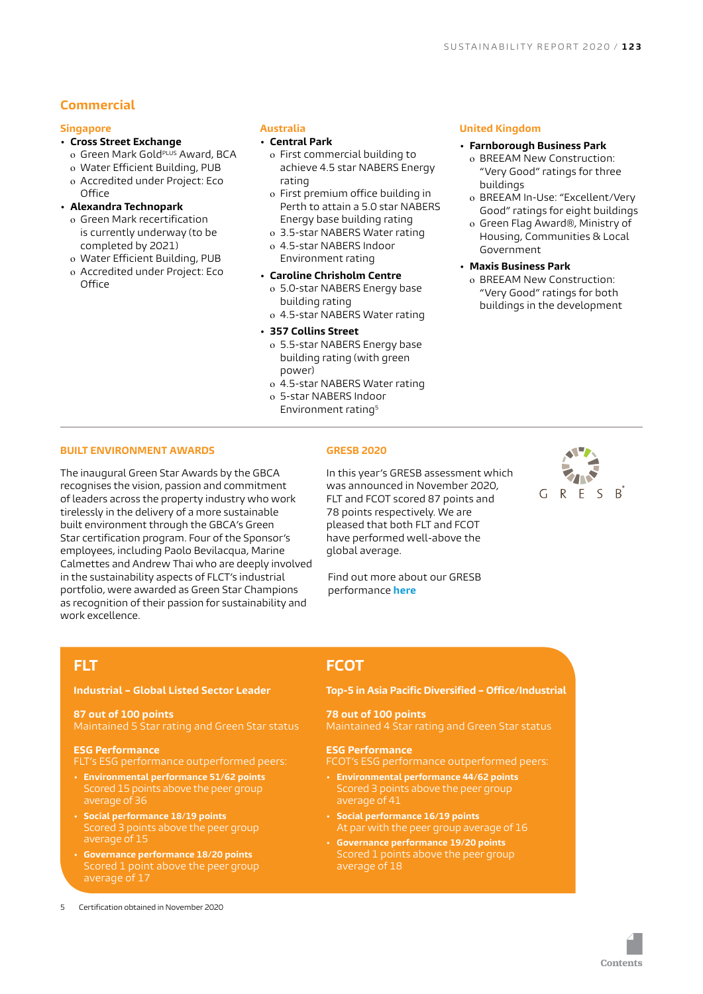## **Commercial**

#### **Singapore**

#### **• Cross Street Exchange**

- o Green Mark Gold<sup>PLUS</sup> Award, BCA
- o Water Efficient Building, PUB
- o Accredited under Project: Eco Office

#### **• Alexandra Technopark**

- o Green Mark recertification is currently underway (to be completed by 2021)
- o Water Efficient Building, PUB
- o Accredited under Project: Eco **Office**

#### **Australia**

#### **• Central Park**

- o First commercial building to achieve 4.5 star NABERS Energy rating
- o First premium office building in Perth to attain a 5.0 star NABERS Energy base building rating
- o 3.5-star NABERS Water rating o 4.5-star NABERS Indoor Environment rating
- **• Caroline Chrisholm Centre**
	- o 5.0-star NABERS Energy base building rating
	- o 4.5-star NABERS Water rating
- **• 357 Collins Street**
	- o 5.5-star NABERS Energy base building rating (with green power)
	- o 4.5-star NABERS Water rating
- o 5-star NABERS Indoor Environment rating5

#### **United Kingdom**

- **• Farnborough Business Park** o BREEAM New Construction:
	- "Very Good" ratings for three buildings
	- o BREEAM In-Use: "Excellent/Very Good" ratings for eight buildings
	- o Green Flag Award®, Ministry of Housing, Communities & Local Government
- **• Maxis Business Park**
	- o BREEAM New Construction: "Very Good" ratings for both buildings in the development

#### **BUILT ENVIRONMENT AWARDS**

The inaugural Green Star Awards by the GBCA recognises the vision, passion and commitment of leaders across the property industry who work tirelessly in the delivery of a more sustainable built environment through the GBCA's Green Star certification program. Four of the Sponsor's employees, including Paolo Bevilacqua, Marine Calmettes and Andrew Thai who are deeply involved in the sustainability aspects of FLCT's industrial portfolio, were awarded as Green Star Champions as recognition of their passion for sustainability and work excellence.

#### **GRESB 2020**

In this year's GRESB assessment which was announced in November 2020, FLT and FCOT scored 87 points and 78 points respectively. We are pleased that both FLT and FCOT have performed well-above the global average.

Find out more about our GRESB performance **[here](https://flct.frasersproperty.com/newsroom/20201125_073023_BUOU_7ATX9ROZWJWA2RGR.1.pdf)**

## **FLT**

#### **Industrial – Global Listed Sector Leader**

## **87 out of 100 points**

#### **ESG Performance**

- FLT's ESG performance outperformed peers:
- **• Environmental performance 51/62 points** Scored 15 points above the peer group average of 36
- **• Social performance 18/19 points** Scored 3 points above the peer group average of 15
- **• Governance performance 18/20 points** average of 17
- 5 Certification obtained in November 2020

## **FCOT**

#### **Top-5 in Asia Pacific Diversified – Office/Industrial**

## **78 out of 100 points**

#### **ESG Performance**

FCOT's ESG performance outperformed peers:

- **• Environmental performance 44/62 points** average of 41
- **• Social performance 16/19 points**
- **• Governance performance 19/20 points**

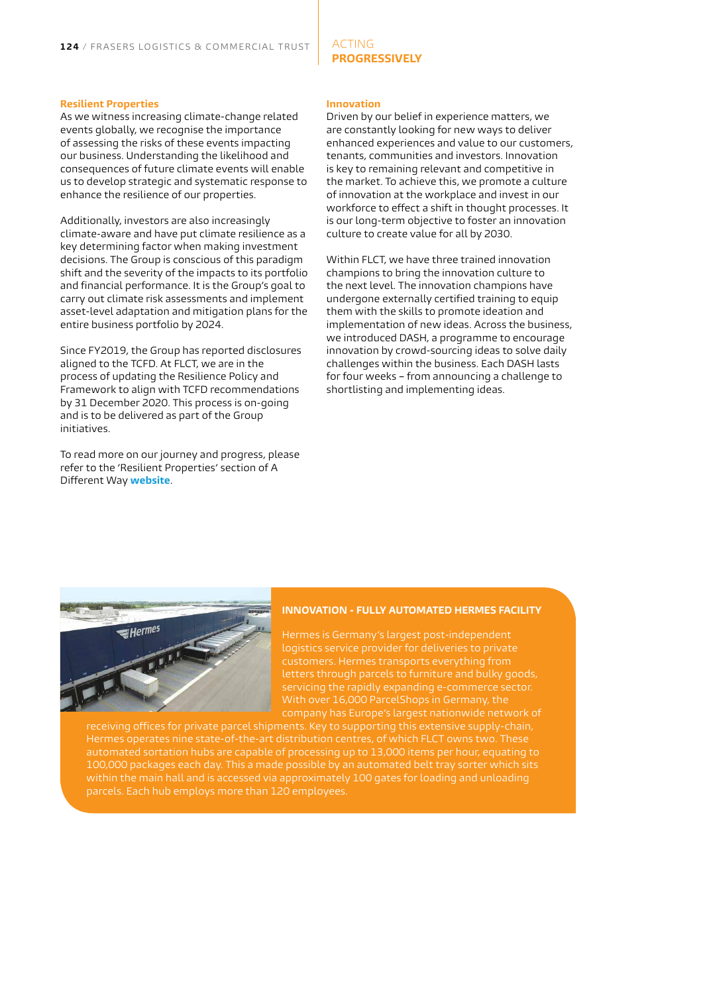#### **Resilient Properties**

As we witness increasing climate-change related events globally, we recognise the importance of assessing the risks of these events impacting our business. Understanding the likelihood and consequences of future climate events will enable us to develop strategic and systematic response to enhance the resilience of our properties.

Additionally, investors are also increasingly climate-aware and have put climate resilience as a key determining factor when making investment decisions. The Group is conscious of this paradigm shift and the severity of the impacts to its portfolio and financial performance. It is the Group's goal to carry out climate risk assessments and implement asset-level adaptation and mitigation plans for the entire business portfolio by 2024.

Since FY2019, the Group has reported disclosures aligned to the TCFD. At FLCT, we are in the process of updating the Resilience Policy and Framework to align with TCFD recommendations by 31 December 2020. This process is on-going and is to be delivered as part of the Group initiatives.

To read more on our journey and progress, please refer to the 'Resilient Properties' section of A Different Way **[website](http://www.frasersproperty.com.au/A-Different-Way/Acting-Progressively/Resilient-Properties)**.

#### **Innovation**

ACTING

**PROGRESSIVELY** 

Driven by our belief in experience matters, we are constantly looking for new ways to deliver enhanced experiences and value to our customers, tenants, communities and investors. Innovation is key to remaining relevant and competitive in the market. To achieve this, we promote a culture of innovation at the workplace and invest in our workforce to effect a shift in thought processes. It is our long-term objective to foster an innovation culture to create value for all by 2030.

Within FLCT, we have three trained innovation champions to bring the innovation culture to the next level. The innovation champions have undergone externally certified training to equip them with the skills to promote ideation and implementation of new ideas. Across the business, we introduced DASH, a programme to encourage innovation by crowd-sourcing ideas to solve daily challenges within the business. Each DASH lasts for four weeks – from announcing a challenge to shortlisting and implementing ideas.



#### **INNOVATION - FULLY AUTOMATED HERMES FACILITY**

Hermes is Germany's largest post-independent letters through parcels to furniture and bulky goods, With over 16,000 ParcelShops in Germany, the company has Europe's largest nationwide network of

receiving offices for private parcel shipments. Key to supporting this extensive supply-chain, automated sortation hubs are capable of processing up to 13,000 items per hour, equating to 100,000 packages each day. This a made possible by an automated belt tray sorter which sits within the main hall and is accessed via approximately 100 gates for loading and unloading parcels. Each hub employs more than 120 employees.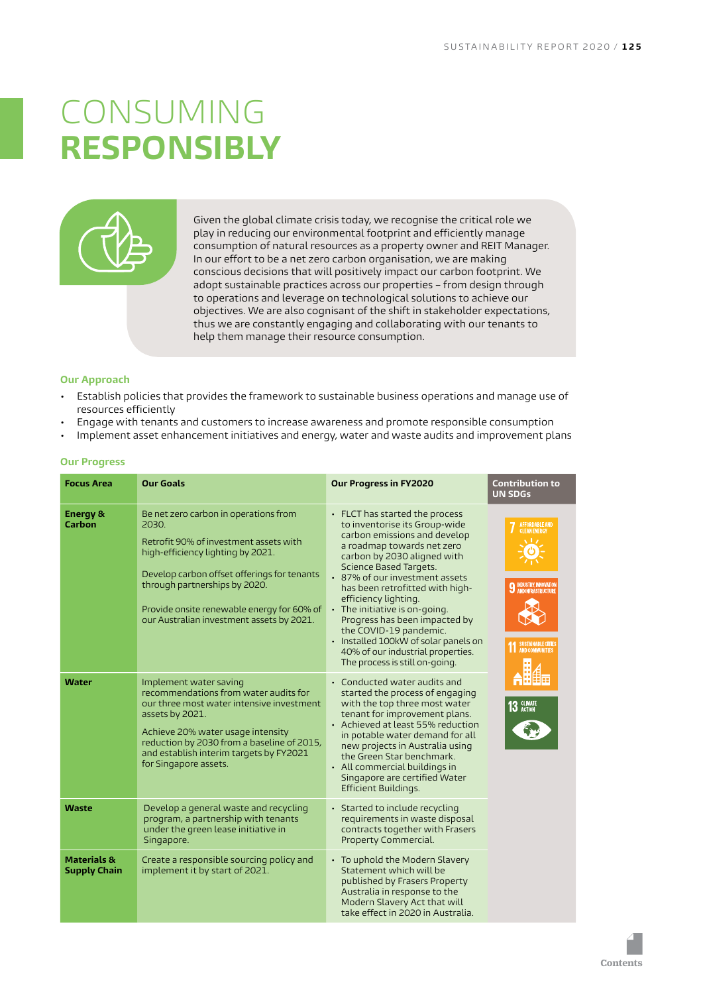# <span id="page-13-0"></span>CONSUMING **RESPONSIBLY**



Given the global climate crisis today, we recognise the critical role we play in reducing our environmental footprint and efficiently manage consumption of natural resources as a property owner and REIT Manager. In our effort to be a net zero carbon organisation, we are making conscious decisions that will positively impact our carbon footprint. We adopt sustainable practices across our properties – from design through to operations and leverage on technological solutions to achieve our objectives. We are also cognisant of the shift in stakeholder expectations, thus we are constantly engaging and collaborating with our tenants to help them manage their resource consumption.

#### **Our Approach**

- Establish policies that provides the framework to sustainable business operations and manage use of resources efficiently
- Engage with tenants and customers to increase awareness and promote responsible consumption
- Implement asset enhancement initiatives and energy, water and waste audits and improvement plans

| <b>Focus Area</b>                             | <b>Our Goals</b>                                                                                                                                                                                                                                                                                         | Our Progress in FY2020                                                                                                                                                                                                                                                                                                                                                                                                                                                                               | <b>Contribution to</b><br><b>UN SDGs</b>                                                                               |
|-----------------------------------------------|----------------------------------------------------------------------------------------------------------------------------------------------------------------------------------------------------------------------------------------------------------------------------------------------------------|------------------------------------------------------------------------------------------------------------------------------------------------------------------------------------------------------------------------------------------------------------------------------------------------------------------------------------------------------------------------------------------------------------------------------------------------------------------------------------------------------|------------------------------------------------------------------------------------------------------------------------|
| <b>Energy &amp;</b><br>Carbon                 | Be net zero carbon in operations from<br>2030.<br>Retrofit 90% of investment assets with<br>high-efficiency lighting by 2021.<br>Develop carbon offset offerings for tenants<br>through partnerships by 2020.<br>Provide onsite renewable energy for 60% of<br>our Australian investment assets by 2021. | • FLCT has started the process<br>to inventorise its Group-wide<br>carbon emissions and develop<br>a roadmap towards net zero<br>carbon by 2030 aligned with<br>Science Based Targets.<br>• 87% of our investment assets<br>has been retrofitted with high-<br>efficiency lighting.<br>$\cdot$ The initiative is on-going.<br>Progress has been impacted by<br>the COVID-19 pandemic.<br>• Installed 100kW of solar panels on<br>40% of our industrial properties.<br>The process is still on-going. | AFFORDABLE AND<br>CLEAN ENERGY<br><b>9 INDUSTRY, INNOVATION</b><br><b>SUSTAINABLE CITIES</b><br><b>AND COMMUNITIES</b> |
| Water                                         | Implement water saving<br>recommendations from water audits for<br>our three most water intensive investment<br>assets by 2021.<br>Achieve 20% water usage intensity<br>reduction by 2030 from a baseline of 2015,<br>and establish interim targets by FY2021<br>for Singapore assets.                   | • Conducted water audits and<br>started the process of engaging<br>with the top three most water<br>tenant for improvement plans.<br>• Achieved at least 55% reduction<br>in potable water demand for all<br>new projects in Australia using<br>the Green Star benchmark.<br>• All commercial buildings in<br>Singapore are certified Water<br>Efficient Buildings.                                                                                                                                  | 13 CLIMATE                                                                                                             |
| Waste                                         | Develop a general waste and recycling<br>program, a partnership with tenants<br>under the green lease initiative in<br>Singapore.                                                                                                                                                                        | • Started to include recycling<br>requirements in waste disposal<br>contracts together with Frasers<br>Property Commercial.                                                                                                                                                                                                                                                                                                                                                                          |                                                                                                                        |
| <b>Materials &amp;</b><br><b>Supply Chain</b> | Create a responsible sourcing policy and<br>implement it by start of 2021.                                                                                                                                                                                                                               | • To uphold the Modern Slavery<br>Statement which will be<br>published by Frasers Property<br>Australia in response to the<br>Modern Slavery Act that will<br>take effect in 2020 in Australia.                                                                                                                                                                                                                                                                                                      |                                                                                                                        |

#### **Our Progress**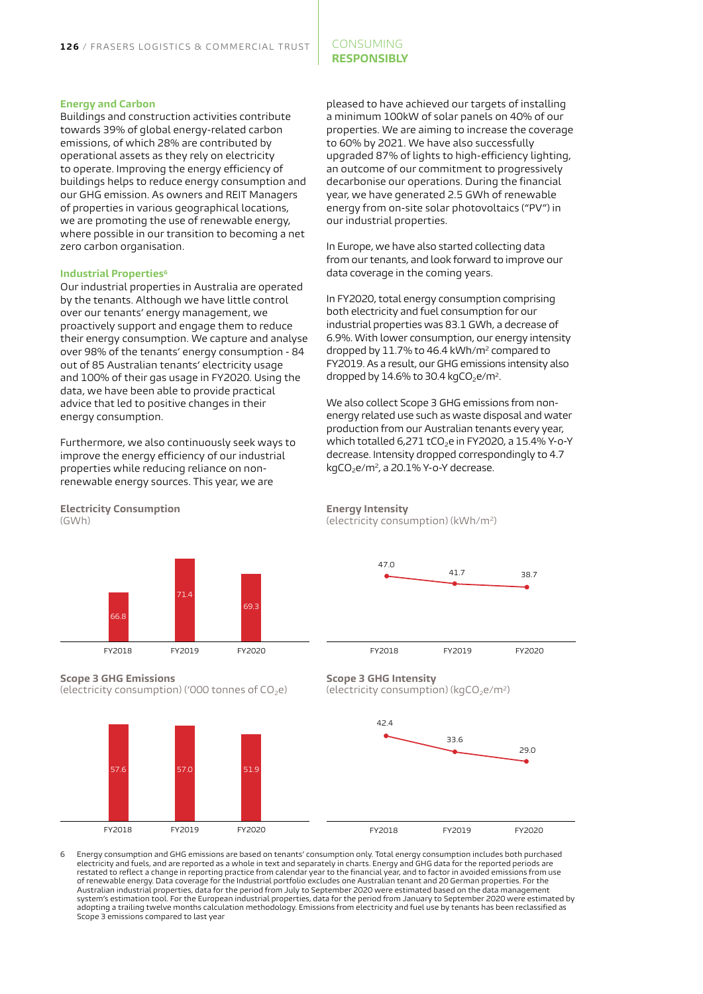#### CONSUMING **RESPONSIBLY**

#### **Energy and Carbon**

Buildings and construction activities contribute towards 39% of global energy-related carbon emissions, of which 28% are contributed by operational assets as they rely on electricity to operate. Improving the energy efficiency of buildings helps to reduce energy consumption and our GHG emission. As owners and REIT Managers of properties in various geographical locations, we are promoting the use of renewable energy, where possible in our transition to becoming a net zero carbon organisation.

#### **Industrial Properties<sup>6</sup>**

Our industrial properties in Australia are operated by the tenants. Although we have little control over our tenants' energy management, we proactively support and engage them to reduce their energy consumption. We capture and analyse over 98% of the tenants' energy consumption - 84 out of 85 Australian tenants' electricity usage and 100% of their gas usage in FY2020. Using the data, we have been able to provide practical advice that led to positive changes in their energy consumption.

Furthermore, we also continuously seek ways to improve the energy efficiency of our industrial properties while reducing reliance on nonrenewable energy sources. This year, we are

pleased to have achieved our targets of installing a minimum 100kW of solar panels on 40% of our properties. We are aiming to increase the coverage to 60% by 2021. We have also successfully upgraded 87% of lights to high-efficiency lighting, an outcome of our commitment to progressively decarbonise our operations. During the financial year, we have generated 2.5 GWh of renewable energy from on-site solar photovoltaics ("PV") in our industrial properties.

In Europe, we have also started collecting data from our tenants, and look forward to improve our data coverage in the coming years.

In FY2020, total energy consumption comprising both electricity and fuel consumption for our industrial properties was 83.1 GWh, a decrease of 6.9%. With lower consumption, our energy intensity dropped by 11.7% to 46.4 kWh/m2 compared to FY2019. As a result, our GHG emissions intensity also dropped by  $14.6\%$  to 30.4 kgCO<sub>2</sub>e/m<sup>2</sup>.

We also collect Scope 3 GHG emissions from nonenergy related use such as waste disposal and water production from our Australian tenants every year, which totalled 6,271 tCO<sub>2</sub>e in FY2020, a 15.4% Y-o-Y decrease. Intensity dropped correspondingly to 4.7 kgCO<sub>2</sub>e/m<sup>2</sup>, a 20.1% Y-o-Y decrease.

**Electricity Consumption** (GWh)



**Scope 3 GHG Emissions**  (electricity consumption) ('000 tonnes of  $CO<sub>2</sub>e$ )



**Energy Intensity** (electricity consumption) (kWh/m2)



#### **Scope 3 GHG Intensity**

(electricity consumption) ( $kgCO<sub>2</sub>e/m<sup>2</sup>$ )



6 Energy consumption and GHG emissions are based on tenants' consumption only. Total energy consumption includes both purchased electricity and fuels, and are reported as a whole in text and separately in charts. Energy and GHG data for the reported periods are restated to reflect a change in reporting practice from calendar year to the financial year, and to factor in avoided emissions from use<br>of renewable energy. Data coverage for the Industrial portfolio excludes one Australi Australian industrial properties, data for the period from July to September 2020 were estimated based on the data management system's estimation tool. For the European industrial properties, data for the period from January to September 2020 were estimated by<br>adopting a trailing twelve months calculation methodology. Emissions from electricity a Scope 3 emissions compared to last year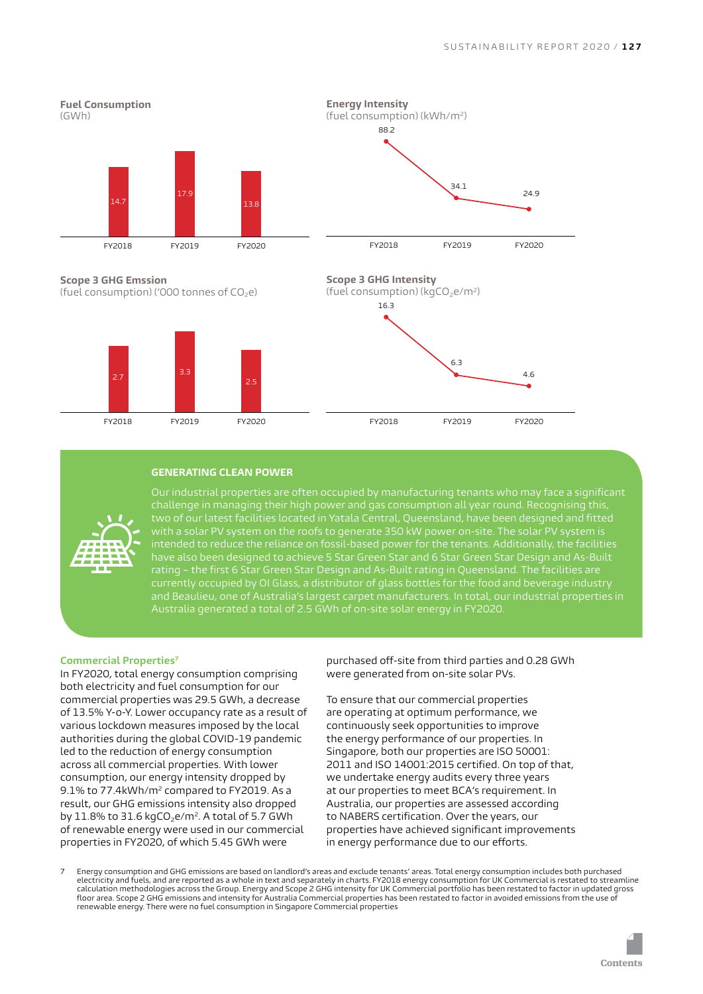

**Scope 3 GHG Emssion** (fuel consumption) ('000 tonnes of  $CO<sub>2</sub>e$ )





FY2018 FY2019 FY2020

#### **GENERATING CLEAN POWER**



have also been designed to achieve 5 Star Green Star and 6 Star Green Star Design and As-Built rating – the first 6 Star Green Star Design and As-Built rating in Queensland. The facilities are and Beaulieu, one of Australia's largest carpet manufacturers. In total, our industrial properties in Australia generated a total of 2.5 GWh of on-site solar energy in FY2020.

#### **Commercial Properties7**

In FY2020, total energy consumption comprising both electricity and fuel consumption for our commercial properties was 29.5 GWh, a decrease of 13.5% Y-o-Y. Lower occupancy rate as a result of various lockdown measures imposed by the local authorities during the global COVID-19 pandemic led to the reduction of energy consumption across all commercial properties. With lower consumption, our energy intensity dropped by 9.1% to 77.4kWh/m<sup>2</sup> compared to FY2019. As a result, our GHG emissions intensity also dropped by  $11.8\%$  to  $31.6$  kgCO<sub>2</sub>e/m<sup>2</sup>. A total of 5.7 GWh of renewable energy were used in our commercial properties in FY2020, of which 5.45 GWh were

purchased off-site from third parties and 0.28 GWh were generated from on-site solar PVs.

To ensure that our commercial properties are operating at optimum performance, we continuously seek opportunities to improve the energy performance of our properties. In Singapore, both our properties are ISO 50001: 2011 and ISO 14001:2015 certified. On top of that, we undertake energy audits every three years at our properties to meet BCA's requirement. In Australia, our properties are assessed according to NABERS certification. Over the years, our properties have achieved significant improvements in energy performance due to our efforts.

7 Energy consumption and GHG emissions are based on landlord's areas and exclude tenants' areas. Total energy consumption includes both purchased electricity and fuels, and are reported as a whole in text and separately in charts. FY2018 energy consumption for UK Commercial is restated to streamline calculation methodologies across the Group. Energy and Scope 2 GHG intensity for UK Commercial portfolio has been restated to factor in updated gross<br>floor area. Scope 2 GHG emissions and intensity for Australia Commercial renewable energy. There were no fuel consumption in Singapore Commercial properties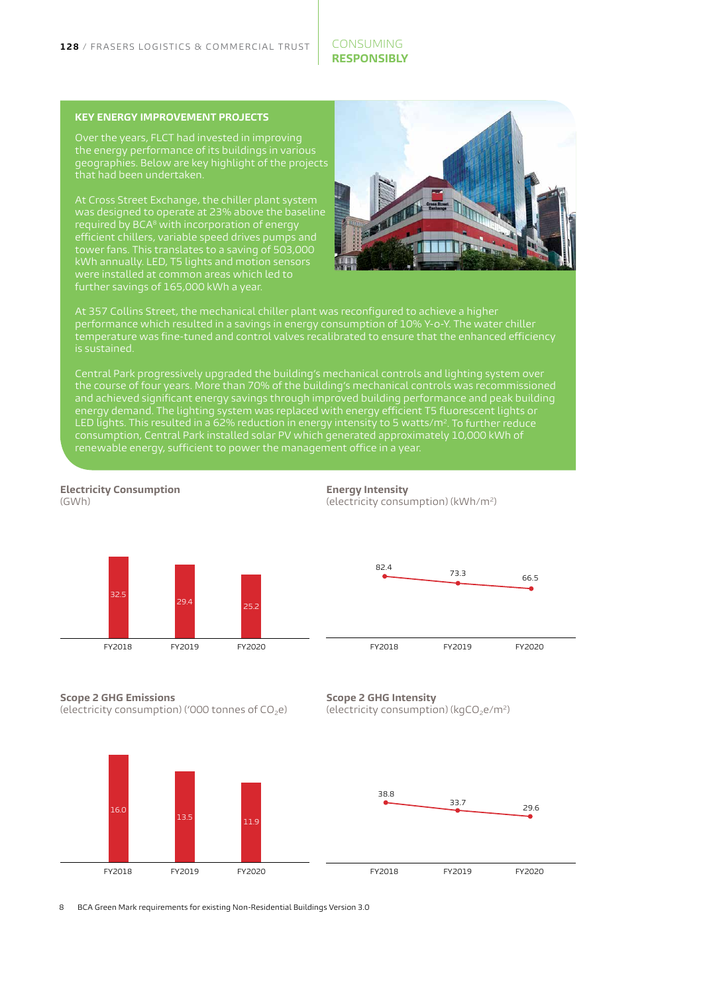#### CONSUMING **RESPONSIBLY**

#### **KEY ENERGY IMPROVEMENT PROJECTS**

the energy performance of its buildings in various geographies. Below are key highlight of the projects

At Cross Street Exchange, the chiller plant system was designed to operate at 23% above the baseline required by BCA<sup>8</sup> with incorporation of energy efficient chillers, variable speed drives pumps and tower fans. This translates to a saving of 503,000 kWh annually. LED, T5 lights and motion sensors further savings of 165,000 kWh a year.



At 357 Collins Street, the mechanical chiller plant was reconfigured to achieve a higher performance which resulted in a savings in energy consumption of 10% Y-o-Y. The water chiller temperature was fine-tuned and control valves recalibrated to ensure that the enhanced efficiency is sustained.

Central Park progressively upgraded the building's mechanical controls and lighting system over and achieved significant energy savings through improved building performance and peak building energy demand. The lighting system was replaced with energy efficient T5 fluorescent lights or LED lights. This resulted in a 62% reduction in energy intensity to 5 watts/m². To further reduce consumption, Central Park installed solar PV which generated approximately 10,000 kWh of renewable energy, sufficient to power the management office in a year.







**Scope 2 GHG Emissions** 

**Electricity Consumption** 

 $(GM/h)$ 

(electricity consumption) ('000 tonnes of  $CO<sub>2</sub>e$ )







8 BCA Green Mark requirements for existing Non-Residential Buildings Version 3.0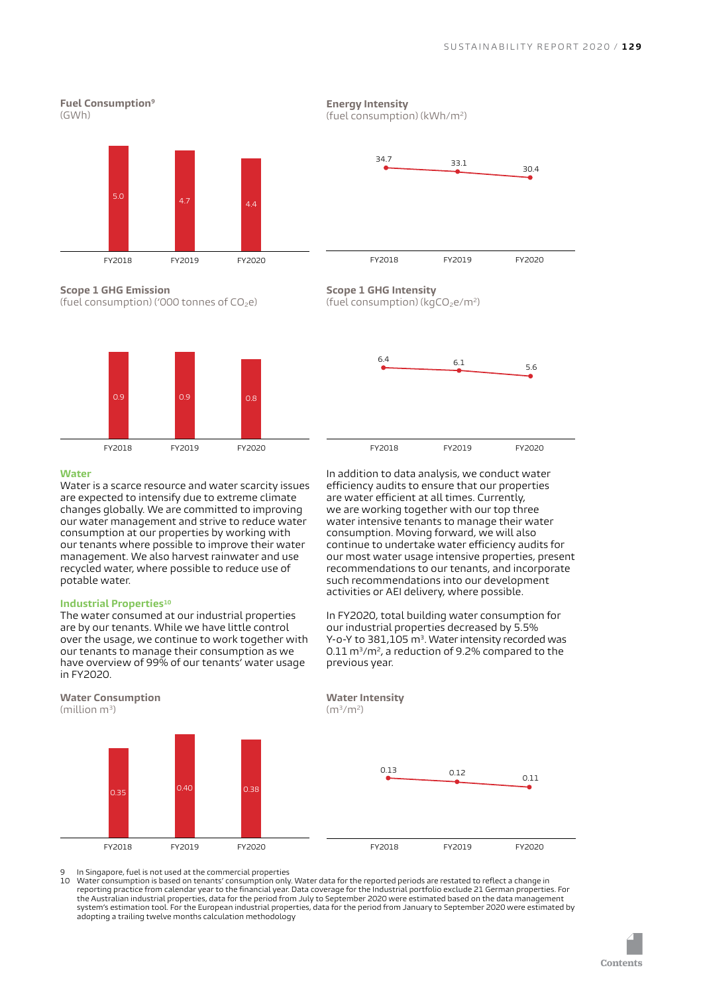#### **Fuel Consumption9**  $(GWh)$



**Scope 1 GHG Emission** (fuel consumption) ('000 tonnes of  $CO<sub>2</sub>e$ )



#### **Water**

Water is a scarce resource and water scarcity issues are expected to intensify due to extreme climate changes globally. We are committed to improving our water management and strive to reduce water consumption at our properties by working with our tenants where possible to improve their water management. We also harvest rainwater and use recycled water, where possible to reduce use of potable water.

#### **Industrial Properties10**

**Water Consumption**

 $(million m<sup>3</sup>)$ 

The water consumed at our industrial properties are by our tenants. While we have little control over the usage, we continue to work together with our tenants to manage their consumption as we have overview of 99% of our tenants' water usage in FY2020.



FY2018 FY2019 FY2020

**Energy Intensity** (fuel consumption) (kWh/m2)



**Scope 1 GHG Intensity** (fuel consumption) ( $kgCO<sub>2</sub>e/m<sup>2</sup>$ )



In addition to data analysis, we conduct water efficiency audits to ensure that our properties are water efficient at all times. Currently, we are working together with our top three water intensive tenants to manage their water consumption. Moving forward, we will also continue to undertake water efficiency audits for our most water usage intensive properties, present recommendations to our tenants, and incorporate such recommendations into our development activities or AEI delivery, where possible.

In FY2020, total building water consumption for our industrial properties decreased by 5.5% Y-o-Y to 381,105 m<sup>3</sup>. Water intensity recorded was  $0.11 \text{ m}^3/\text{m}^2$ , a reduction of 9.2% compared to the previous year.





9 In Singapore, fuel is not used at the commercial properties<br>10 Water consumption is based on tenants' consumption only

Water consumption is based on tenants' consumption only. Water data for the reported periods are restated to reflect a change in reporting practice from calendar year to the financial year. Data coverage for the Industrial portfolio exclude 21 German properties. For<br>the Australian industrial properties, data for the period from July to September 202 system's estimation tool. For the European industrial properties, data for the period from January to September 2020 were estimated by adopting a trailing twelve months calculation methodology

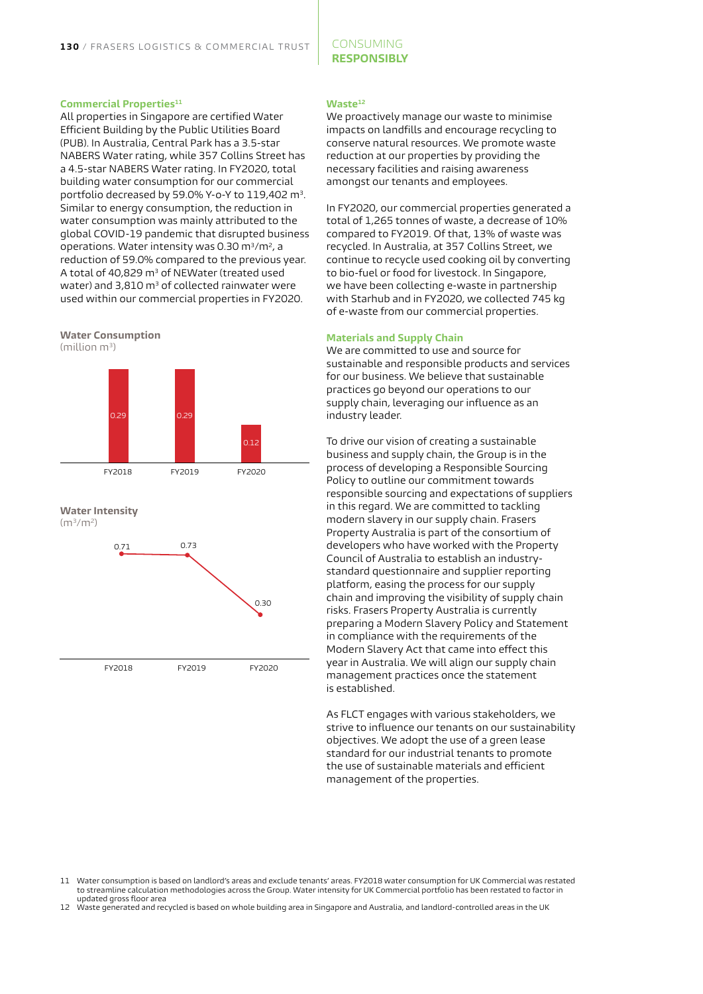#### CONSUMING **RESPONSIBLY**

#### **Commercial Properties**<sup>11</sup>

All properties in Singapore are certified Water Efficient Building by the Public Utilities Board (PUB). In Australia, Central Park has a 3.5-star NABERS Water rating, while 357 Collins Street has a 4.5-star NABERS Water rating. In FY2020, total building water consumption for our commercial portfolio decreased by 59.0% Y-o-Y to 119,402 m<sup>3</sup>. Similar to energy consumption, the reduction in water consumption was mainly attributed to the global COVID-19 pandemic that disrupted business operations. Water intensity was 0.30 m<sup>3</sup>/m<sup>2</sup>, a reduction of 59.0% compared to the previous year. A total of 40,829 m<sup>3</sup> of NEWater (treated used water) and  $3,810$  m<sup>3</sup> of collected rainwater were used within our commercial properties in FY2020.







#### **Waste12**

We proactively manage our waste to minimise impacts on landfills and encourage recycling to conserve natural resources. We promote waste reduction at our properties by providing the necessary facilities and raising awareness amongst our tenants and employees.

In FY2020, our commercial properties generated a total of 1,265 tonnes of waste, a decrease of 10% compared to FY2019. Of that, 13% of waste was recycled. In Australia, at 357 Collins Street, we continue to recycle used cooking oil by converting to bio-fuel or food for livestock. In Singapore, we have been collecting e-waste in partnership with Starhub and in FY2020, we collected 745 kg of e-waste from our commercial properties.

#### **Materials and Supply Chain**

We are committed to use and source for sustainable and responsible products and services for our business. We believe that sustainable practices go beyond our operations to our supply chain, leveraging our influence as an industry leader.

To drive our vision of creating a sustainable business and supply chain, the Group is in the process of developing a Responsible Sourcing Policy to outline our commitment towards responsible sourcing and expectations of suppliers in this regard. We are committed to tackling modern slavery in our supply chain. Frasers Property Australia is part of the consortium of developers who have worked with the Property Council of Australia to establish an industrystandard questionnaire and supplier reporting platform, easing the process for our supply chain and improving the visibility of supply chain risks. Frasers Property Australia is currently preparing a Modern Slavery Policy and Statement in compliance with the requirements of the Modern Slavery Act that came into effect this year in Australia. We will align our supply chain management practices once the statement is established.

As FLCT engages with various stakeholders, we strive to influence our tenants on our sustainability objectives. We adopt the use of a green lease standard for our industrial tenants to promote the use of sustainable materials and efficient management of the properties.

12 Waste generated and recycled is based on whole building area in Singapore and Australia, and landlord-controlled areas in the UK

<sup>11</sup> Water consumption is based on landlord's areas and exclude tenants' areas. FY2018 water consumption for UK Commercial was restated to streamline calculation methodologies across the Group. Water intensity for UK Commercial portfolio has been restated to factor in updated gross floor area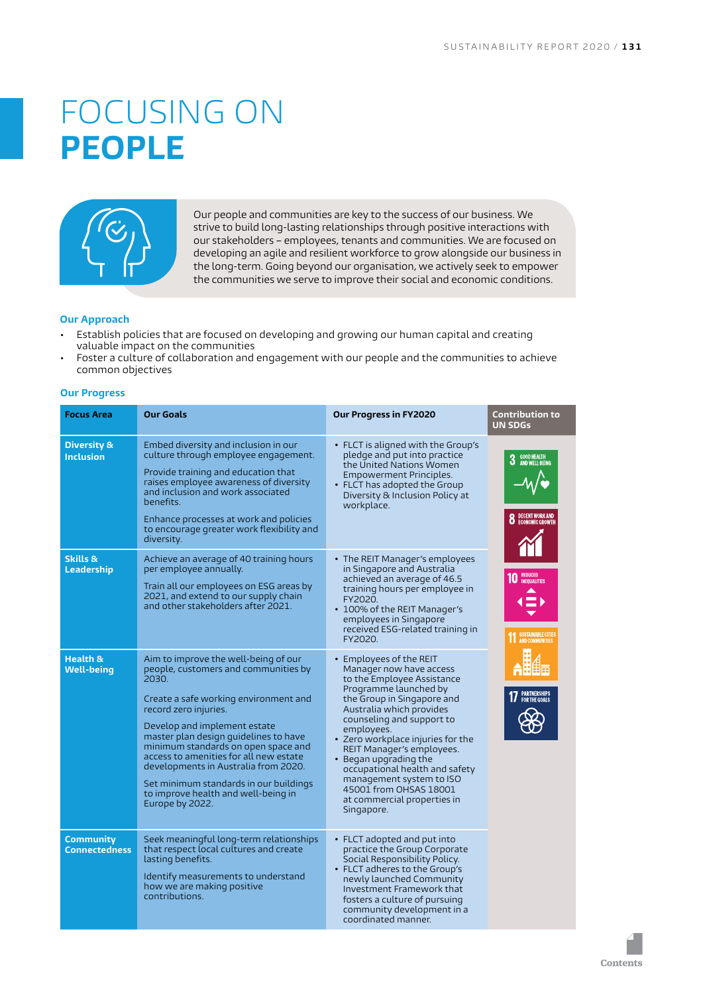# <span id="page-19-0"></span>FOCUSING ON **PEOPLE**



Our people and communities are key to the success of our business. We strive to build long-lasting relationships through positive interactions with our stakeholders – employees, tenants and communities. We are focused on developing an agile and resilient workforce to grow alongside our business in the long-term. Going beyond our organisation, we actively seek to empower the communities we serve to improve their social and economic conditions.

#### **Our Approach**

- Establish policies that are focused on developing and growing our human capital and creating valuable impact on the communities
- Foster a culture of collaboration and engagement with our people and the communities to achieve common objectives

#### **Our Progress**

| <b>Focus Area</b>                          | <b>Our Goals</b>                                                                                                                                                                                                                                                                                                                                                                                                                                              | Our Progress in FY2020                                                                                                                                                                                                                                                                                                                                                                                                                         | <b>Contribution to</b><br><b>UN SDGs</b>                                                     |
|--------------------------------------------|---------------------------------------------------------------------------------------------------------------------------------------------------------------------------------------------------------------------------------------------------------------------------------------------------------------------------------------------------------------------------------------------------------------------------------------------------------------|------------------------------------------------------------------------------------------------------------------------------------------------------------------------------------------------------------------------------------------------------------------------------------------------------------------------------------------------------------------------------------------------------------------------------------------------|----------------------------------------------------------------------------------------------|
| <b>Diversity &amp;</b><br><b>Inclusion</b> | Embed diversity and inclusion in our<br>culture through employee engagement.<br>Provide training and education that<br>raises employee awareness of diversity<br>and inclusion and work associated<br>benefits.<br>Enhance processes at work and policies<br>to encourage greater work flexibility and<br>diversity.                                                                                                                                          | $\bullet$ FLCT is aligned with the Group's<br>pledge and put into practice<br>the United Nations Women<br>Empowerment Principles.<br>• FLCT has adopted the Group<br>Diversity & Inclusion Policy at<br>workplace.                                                                                                                                                                                                                             | GOOD HEALTH<br>And Well-Being<br>3<br>DECENT WORK AND<br>Economic Growth                     |
| Skills &<br>Leadership                     | Achieve an average of 40 training hours<br>per employee annually.<br>Train all our employees on ESG areas by<br>2021, and extend to our supply chain<br>and other stakeholders after 2021.                                                                                                                                                                                                                                                                    | • The REIT Manager's employees<br>in Singapore and Australia<br>achieved an average of 46.5<br>training hours per employee in<br>FY2020.<br>• 100% of the REIT Manager's<br>employees in Singapore<br>received ESG-related training in<br>FY2020.                                                                                                                                                                                              | <b>REDUCED</b><br><b>INEOUALITIES</b><br><b>SUSTAINABLE CITIES</b><br><b>AND COMMUNITIES</b> |
| <b>Health &amp;</b><br><b>Well-being</b>   | Aim to improve the well-being of our<br>people, customers and communities by<br>2030.<br>Create a safe working environment and<br>record zero injuries.<br>Develop and implement estate<br>master plan design quidelines to have<br>minimum standards on open space and<br>access to amenities for all new estate<br>developments in Australia from 2020.<br>Set minimum standards in our buildings<br>to improve health and well-being in<br>Europe by 2022. | • Employees of the REIT<br>Manager now have access<br>to the Employee Assistance<br>Programme launched by<br>the Group in Singapore and<br>Australia which provides<br>counseling and support to<br>employees.<br>• Zero workplace injuries for the<br>REIT Manager's employees.<br>• Began upgrading the<br>occupational health and safety<br>management system to ISO<br>45001 from OHSAS 18001<br>at commercial properties in<br>Singapore. | PARTNERSHIPS<br>For the goals                                                                |
| <b>Community</b><br><b>Connectedness</b>   | Seek meaningful long-term relationships<br>that respect local cultures and create<br>lasting benefits.<br>Identify measurements to understand<br>how we are making positive<br>contributions.                                                                                                                                                                                                                                                                 | • FLCT adopted and put into<br>practice the Group Corporate<br>Social Responsibility Policy.<br>• FLCT adheres to the Group's<br>newly launched Community<br>Investment Framework that<br>fosters a culture of pursuing<br>community development in a<br>coordinated manner.                                                                                                                                                                   |                                                                                              |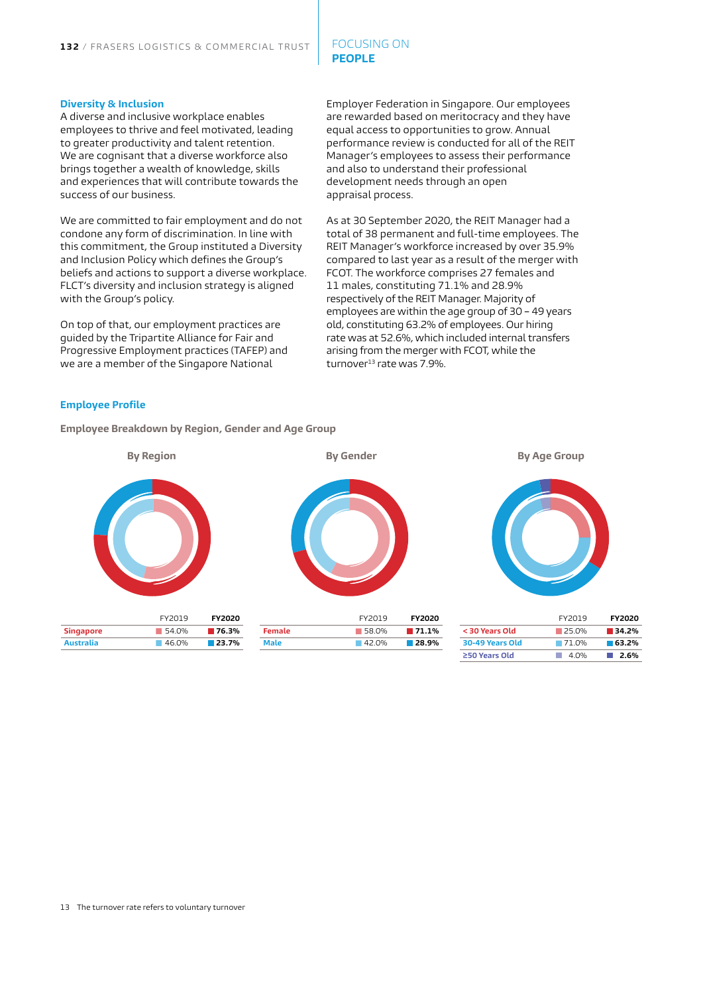#### FOCUSING ON **PEOPLE**

#### **Diversity & Inclusion**

A diverse and inclusive workplace enables employees to thrive and feel motivated, leading to greater productivity and talent retention. We are cognisant that a diverse workforce also brings together a wealth of knowledge, skills and experiences that will contribute towards the success of our business.

We are committed to fair employment and do not condone any form of discrimination. In line with this commitment, the Group instituted a Diversity and Inclusion Policy which defines the Group's beliefs and actions to support a diverse workplace. FLCT's diversity and inclusion strategy is aligned with the Group's policy.

On top of that, our employment practices are guided by the Tripartite Alliance for Fair and Progressive Employment practices (TAFEP) and we are a member of the Singapore National

Employer Federation in Singapore. Our employees are rewarded based on meritocracy and they have equal access to opportunities to grow. Annual performance review is conducted for all of the REIT Manager's employees to assess their performance and also to understand their professional development needs through an open appraisal process.

As at 30 September 2020, the REIT Manager had a total of 38 permanent and full-time employees. The REIT Manager's workforce increased by over 35.9% compared to last year as a result of the merger with FCOT. The workforce comprises 27 females and 11 males, constituting 71.1% and 28.9% respectively of the REIT Manager. Majority of employees are within the age group of 30 – 49 years old, constituting 63.2% of employees. Our hiring rate was at 52.6%, which included internal transfers arising from the merger with FCOT, while the turnover<sup>13</sup> rate was 7.9%.

#### **Employee Profile**

**Employee Breakdown by Region, Gender and Age Group** 

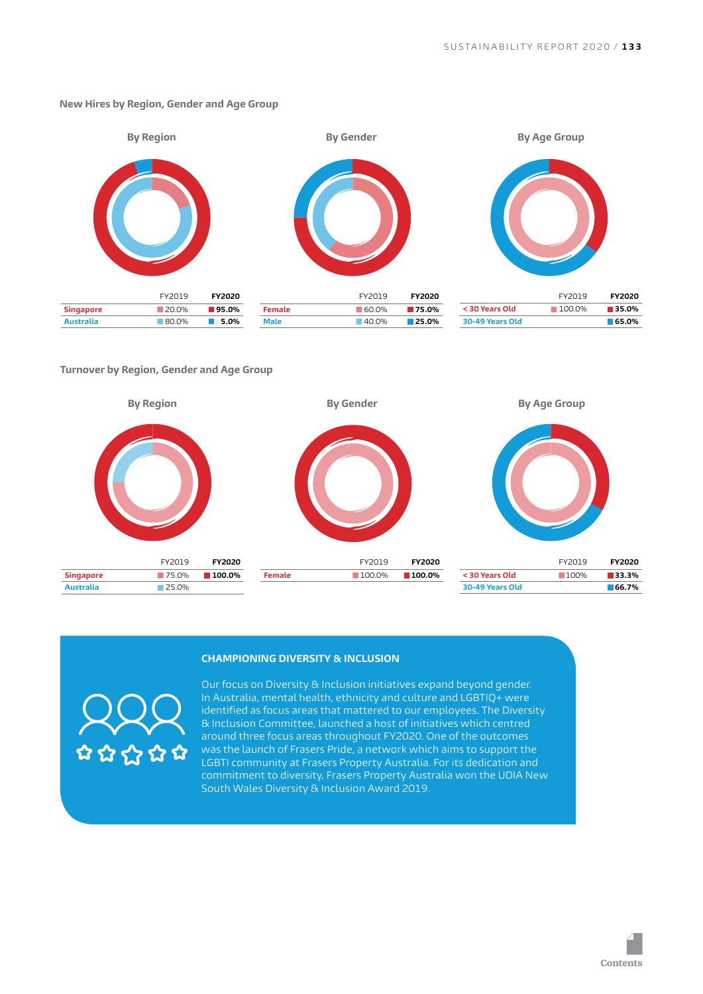

#### **New Hires by Region, Gender and Age Group**

#### **Turnover by Region, Gender and Age Group**



#### **CHAMPIONING DIVERSITY & INCLUSION**



Our focus on Diversity & Inclusion initiatives expand beyond gender. In Australia, mental health, ethnicity and culture and LGBTIQ+ were identified as focus areas that mattered to our employees. The Diversity & Inclusion Committee, launched a host of initiatives which centred around three focus areas throughout FY2020. One of the outcomes was the launch of Frasers Pride, a network which aims to support the LGBTI community at Frasers Property Australia. For its dedication and commitment to diversity, Frasers Property Australia won the UDIA New South Wales Diversity & Inclusion Award 2019.

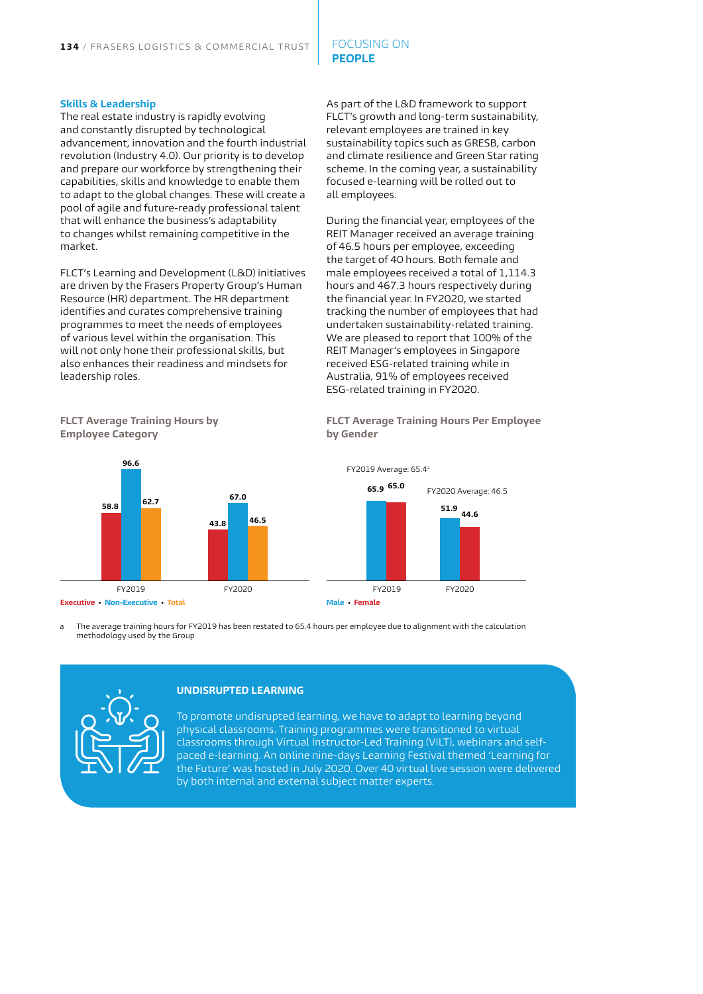#### FOCUSING ON **PEOPLE**

#### **Skills & Leadership**

The real estate industry is rapidly evolving and constantly disrupted by technological advancement, innovation and the fourth industrial revolution (Industry 4.0). Our priority is to develop and prepare our workforce by strengthening their capabilities, skills and knowledge to enable them to adapt to the global changes. These will create a pool of agile and future-ready professional talent that will enhance the business's adaptability to changes whilst remaining competitive in the market.

FLCT's Learning and Development (L&D) initiatives are driven by the Frasers Property Group's Human Resource (HR) department. The HR department identifies and curates comprehensive training programmes to meet the needs of employees of various level within the organisation. This will not only hone their professional skills, but also enhances their readiness and mindsets for leadership roles.

As part of the L&D framework to support FLCT's growth and long-term sustainability, relevant employees are trained in key sustainability topics such as GRESB, carbon and climate resilience and Green Star rating scheme. In the coming year, a sustainability focused e-learning will be rolled out to all employees.

During the financial year, employees of the REIT Manager received an average training of 46.5 hours per employee, exceeding the target of 40 hours. Both female and male employees received a total of 1,114.3 hours and 467.3 hours respectively during the financial year. In FY2020, we started tracking the number of employees that had undertaken sustainability-related training. We are pleased to report that 100% of the REIT Manager's employees in Singapore received ESG-related training while in Australia, 91% of employees received ESG-related training in FY2020.

**FLCT Average Training Hours Per Employee** 



**FLCT Average Training Hours by** 

**Employee Category**

**by Gender**



a The average training hours for FY2019 has been restated to 65.4 hours per employee due to alignment with the calculation methodology used by the Group



#### **UNDISRUPTED LEARNING**

To promote undisrupted learning, we have to adapt to learning beyond physical classrooms. Training programmes were transitioned to virtual classrooms through Virtual Instructor-Led Training (VILT), webinars and selfpaced e-learning. An online nine-days Learning Festival themed 'Learning for the Future' was hosted in July 2020. Over 40 virtual live session were delivered by both internal and external subject matter experts.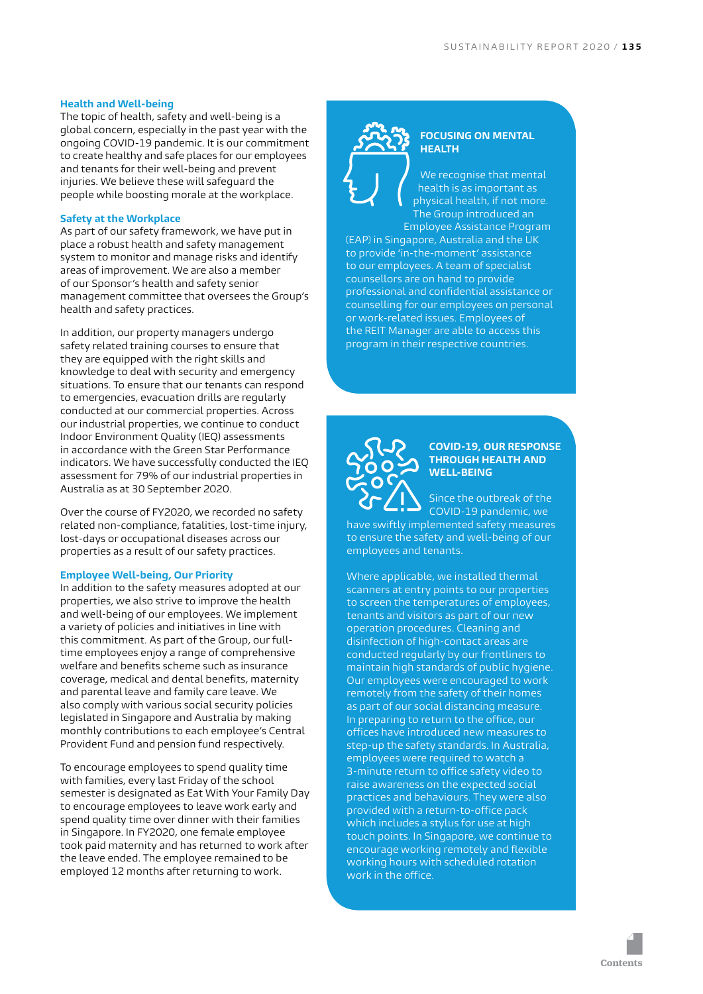#### **Health and Well-being**

The topic of health, safety and well-being is a global concern, especially in the past year with the ongoing COVID-19 pandemic. It is our commitment to create healthy and safe places for our employees and tenants for their well-being and prevent injuries. We believe these will safeguard the people while boosting morale at the workplace.

#### **Safety at the Workplace**

As part of our safety framework, we have put in place a robust health and safety management system to monitor and manage risks and identify areas of improvement. We are also a member of our Sponsor's health and safety senior management committee that oversees the Group's health and safety practices.

In addition, our property managers undergo safety related training courses to ensure that they are equipped with the right skills and knowledge to deal with security and emergency situations. To ensure that our tenants can respond to emergencies, evacuation drills are regularly conducted at our commercial properties. Across our industrial properties, we continue to conduct Indoor Environment Quality (IEQ) assessments in accordance with the Green Star Performance indicators. We have successfully conducted the IEQ assessment for 79% of our industrial properties in Australia as at 30 September 2020.

Over the course of FY2020, we recorded no safety related non-compliance, fatalities, lost-time injury, lost-days or occupational diseases across our properties as a result of our safety practices.

#### **Employee Well-being, Our Priority**

In addition to the safety measures adopted at our properties, we also strive to improve the health and well-being of our employees. We implement a variety of policies and initiatives in line with this commitment. As part of the Group, our fulltime employees enjoy a range of comprehensive welfare and benefits scheme such as insurance coverage, medical and dental benefits, maternity and parental leave and family care leave. We also comply with various social security policies legislated in Singapore and Australia by making monthly contributions to each employee's Central Provident Fund and pension fund respectively.

To encourage employees to spend quality time with families, every last Friday of the school semester is designated as Eat With Your Family Day to encourage employees to leave work early and spend quality time over dinner with their families in Singapore. In FY2020, one female employee took paid maternity and has returned to work after the leave ended. The employee remained to be employed 12 months after returning to work.



#### **FOCUSING ON MENTAL HEALTH**

We recognise that mental health is as important as physical health, if not more. The Group introduced an Employee Assistance Program

(EAP) in Singapore, Australia and the UK to provide 'in-the-moment' assistance to our employees. A team of specialist counsellors are on hand to provide professional and confidential assistance or .<br>counselling for our employees on personal or work-related issues. Employees of the REIT Manager are able to access this program in their respective countries.



#### **COVID-19, OUR RESPONSE THROUGH HEALTH AND WELL-BEING**

Since the outbreak of the COVID-19 pandemic, we have swiftly implemented safety measures

to ensure the safety and well-being of our employees and tenants.

Where applicable, we installed thermal scanners at entry points to our properties to screen the temperatures of employees, tenants and visitors as part of our new operation procedures. Cleaning and disinfection of high-contact areas are conducted regularly by our frontliners to maintain high standards of public hygiene. Our employees were encouraged to work remotely from the safety of their homes as part of our social distancing measure. In preparing to return to the office, our offices have introduced new measures to step-up the safety standards. In Australia, employees were required to watch a 3-minute return to office safety video to raise awareness on the expected social practices and behaviours. They were also provided with a return-to-office pack which includes a stylus for use at high touch points. In Singapore, we continue to encourage working remotely and flexible working hours with scheduled rotation work in the office.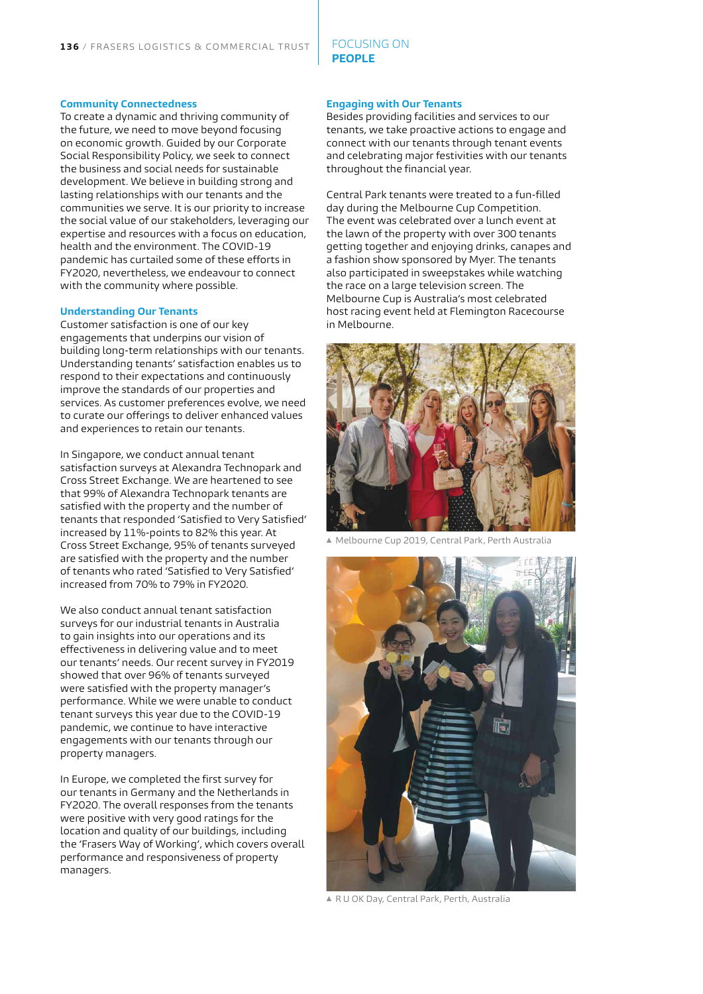#### FOCUSING ON **PEOPLE**

#### **Community Connectedness**

To create a dynamic and thriving community of the future, we need to move beyond focusing on economic growth. Guided by our Corporate Social Responsibility Policy, we seek to connect the business and social needs for sustainable development. We believe in building strong and lasting relationships with our tenants and the communities we serve. It is our priority to increase the social value of our stakeholders, leveraging our expertise and resources with a focus on education, health and the environment. The COVID-19 pandemic has curtailed some of these efforts in FY2020, nevertheless, we endeavour to connect with the community where possible.

#### **Understanding Our Tenants**

Customer satisfaction is one of our key engagements that underpins our vision of building long-term relationships with our tenants. Understanding tenants' satisfaction enables us to respond to their expectations and continuously improve the standards of our properties and services. As customer preferences evolve, we need to curate our offerings to deliver enhanced values and experiences to retain our tenants.

In Singapore, we conduct annual tenant satisfaction surveys at Alexandra Technopark and Cross Street Exchange. We are heartened to see that 99% of Alexandra Technopark tenants are satisfied with the property and the number of tenants that responded 'Satisfied to Very Satisfied' increased by 11%-points to 82% this year. At Cross Street Exchange, 95% of tenants surveyed are satisfied with the property and the number of tenants who rated 'Satisfied to Very Satisfied' increased from 70% to 79% in FY2020.

We also conduct annual tenant satisfaction surveys for our industrial tenants in Australia to gain insights into our operations and its effectiveness in delivering value and to meet our tenants' needs. Our recent survey in FY2019 showed that over 96% of tenants surveyed were satisfied with the property manager's performance. While we were unable to conduct tenant surveys this year due to the COVID-19 pandemic, we continue to have interactive engagements with our tenants through our property managers.

In Europe, we completed the first survey for our tenants in Germany and the Netherlands in FY2020. The overall responses from the tenants were positive with very good ratings for the location and quality of our buildings, including the 'Frasers Way of Working', which covers overall performance and responsiveness of property managers.

#### **Engaging with Our Tenants**

Besides providing facilities and services to our tenants, we take proactive actions to engage and connect with our tenants through tenant events and celebrating major festivities with our tenants throughout the financial year.

Central Park tenants were treated to a fun-filled day during the Melbourne Cup Competition. The event was celebrated over a lunch event at the lawn of the property with over 300 tenants getting together and enjoying drinks, canapes and a fashion show sponsored by Myer. The tenants also participated in sweepstakes while watching the race on a large television screen. The Melbourne Cup is Australia's most celebrated host racing event held at Flemington Racecourse in Melbourne.



▲ Melbourne Cup 2019, Central Park, Perth Australia



▲ R U OK Day, Central Park, Perth, Australia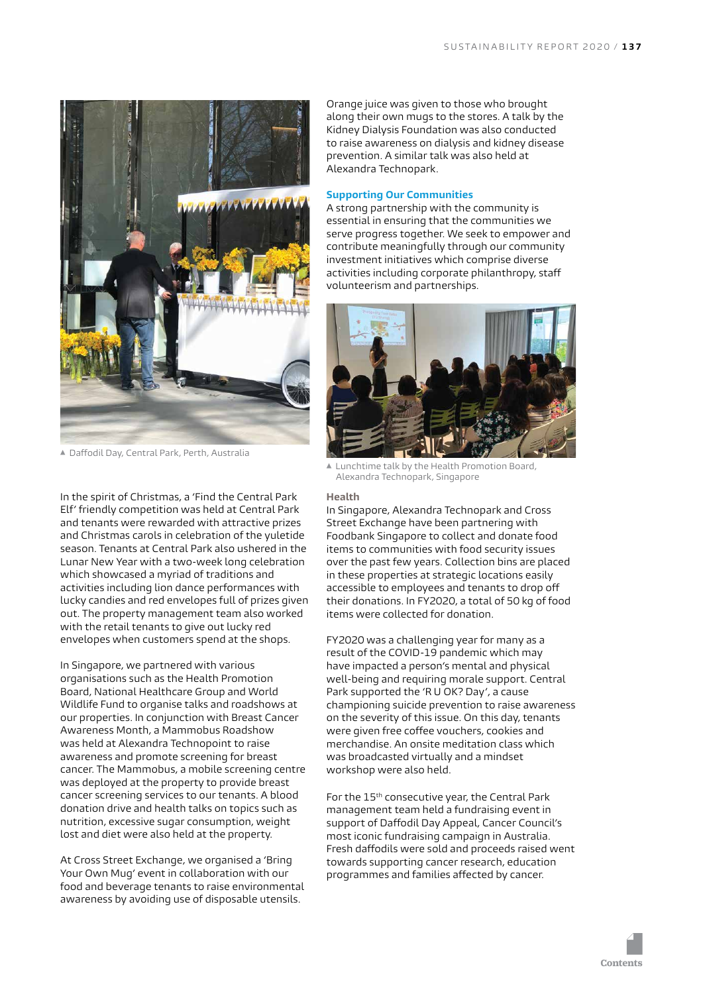

▲ Daffodil Day, Central Park, Perth, Australia

In the spirit of Christmas, a 'Find the Central Park Elf' friendly competition was held at Central Park and tenants were rewarded with attractive prizes and Christmas carols in celebration of the yuletide season. Tenants at Central Park also ushered in the Lunar New Year with a two-week long celebration which showcased a myriad of traditions and activities including lion dance performances with lucky candies and red envelopes full of prizes given out. The property management team also worked with the retail tenants to give out lucky red envelopes when customers spend at the shops.

In Singapore, we partnered with various organisations such as the Health Promotion Board, National Healthcare Group and World Wildlife Fund to organise talks and roadshows at our properties. In conjunction with Breast Cancer Awareness Month, a Mammobus Roadshow was held at Alexandra Technopoint to raise awareness and promote screening for breast cancer. The Mammobus, a mobile screening centre was deployed at the property to provide breast cancer screening services to our tenants. A blood donation drive and health talks on topics such as nutrition, excessive sugar consumption, weight lost and diet were also held at the property.

At Cross Street Exchange, we organised a 'Bring Your Own Mug' event in collaboration with our food and beverage tenants to raise environmental awareness by avoiding use of disposable utensils.

Orange juice was given to those who brought along their own mugs to the stores. A talk by the Kidney Dialysis Foundation was also conducted to raise awareness on dialysis and kidney disease prevention. A similar talk was also held at Alexandra Technopark.

#### **Supporting Our Communities**

A strong partnership with the community is essential in ensuring that the communities we serve progress together. We seek to empower and contribute meaningfully through our community investment initiatives which comprise diverse activities including corporate philanthropy, staff volunteerism and partnerships.



 Lunchtime talk by the Health Promotion Board, Alexandra Technopark, Singapore

#### **Health**

In Singapore, Alexandra Technopark and Cross Street Exchange have been partnering with Foodbank Singapore to collect and donate food items to communities with food security issues over the past few years. Collection bins are placed in these properties at strategic locations easily accessible to employees and tenants to drop off their donations. In FY2020, a total of 50 kg of food items were collected for donation.

FY2020 was a challenging year for many as a result of the COVID-19 pandemic which may have impacted a person's mental and physical well-being and requiring morale support. Central Park supported the 'R U OK? Day', a cause championing suicide prevention to raise awareness on the severity of this issue. On this day, tenants were given free coffee vouchers, cookies and merchandise. An onsite meditation class which was broadcasted virtually and a mindset workshop were also held.

For the 15th consecutive year, the Central Park management team held a fundraising event in support of Daffodil Day Appeal, Cancer Council's most iconic fundraising campaign in Australia. Fresh daffodils were sold and proceeds raised went towards supporting cancer research, education programmes and families affected by cancer.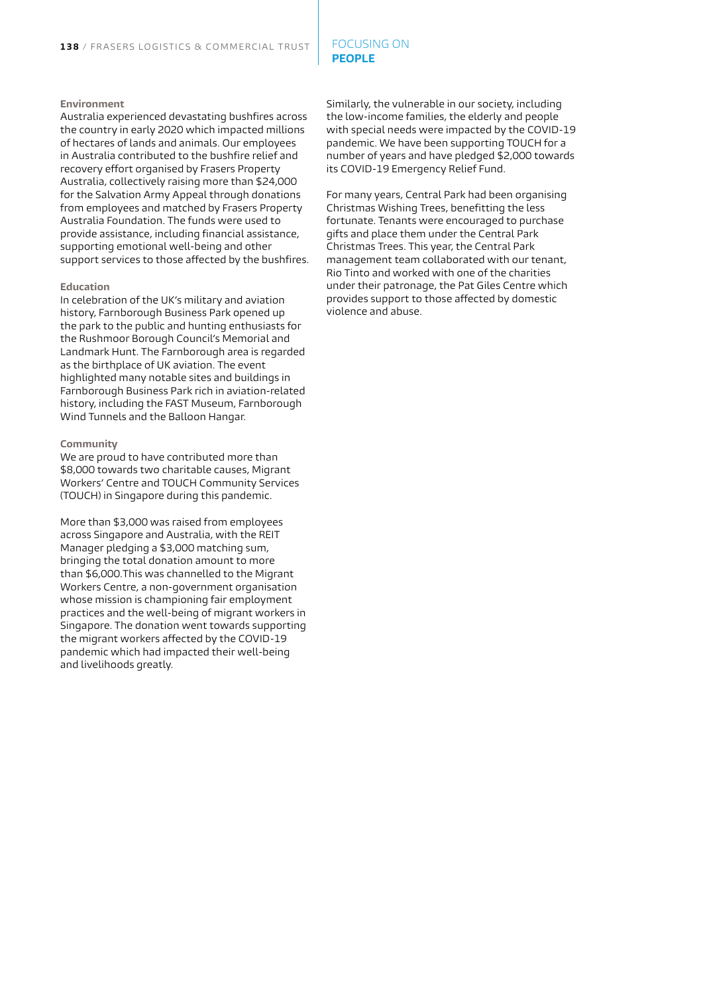#### FOCUSING ON **PEOPLE**

#### **Environment**

Australia experienced devastating bushfires across the country in early 2020 which impacted millions of hectares of lands and animals. Our employees in Australia contributed to the bushfire relief and recovery effort organised by Frasers Property Australia, collectively raising more than \$24,000 for the Salvation Army Appeal through donations from employees and matched by Frasers Property Australia Foundation. The funds were used to provide assistance, including financial assistance, supporting emotional well-being and other support services to those affected by the bushfires.

#### **Education**

In celebration of the UK's military and aviation history, Farnborough Business Park opened up the park to the public and hunting enthusiasts for the Rushmoor Borough Council's Memorial and Landmark Hunt. The Farnborough area is regarded as the birthplace of UK aviation. The event highlighted many notable sites and buildings in Farnborough Business Park rich in aviation-related history, including the FAST Museum, Farnborough Wind Tunnels and the Balloon Hangar.

#### **Community**

We are proud to have contributed more than \$8,000 towards two charitable causes, Migrant Workers' Centre and TOUCH Community Services (TOUCH) in Singapore during this pandemic.

More than \$3,000 was raised from employees across Singapore and Australia, with the REIT Manager pledging a \$3,000 matching sum, bringing the total donation amount to more than \$6,000.This was channelled to the Migrant Workers Centre, a non-government organisation whose mission is championing fair employment practices and the well-being of migrant workers in Singapore. The donation went towards supporting the migrant workers affected by the COVID-19 pandemic which had impacted their well-being and livelihoods greatly.

Similarly, the vulnerable in our society, including the low-income families, the elderly and people with special needs were impacted by the COVID-19 pandemic. We have been supporting TOUCH for a number of years and have pledged \$2,000 towards its COVID-19 Emergency Relief Fund.

For many years, Central Park had been organising Christmas Wishing Trees, benefitting the less fortunate. Tenants were encouraged to purchase gifts and place them under the Central Park Christmas Trees. This year, the Central Park management team collaborated with our tenant, Rio Tinto and worked with one of the charities under their patronage, the Pat Giles Centre which provides support to those affected by domestic violence and abuse.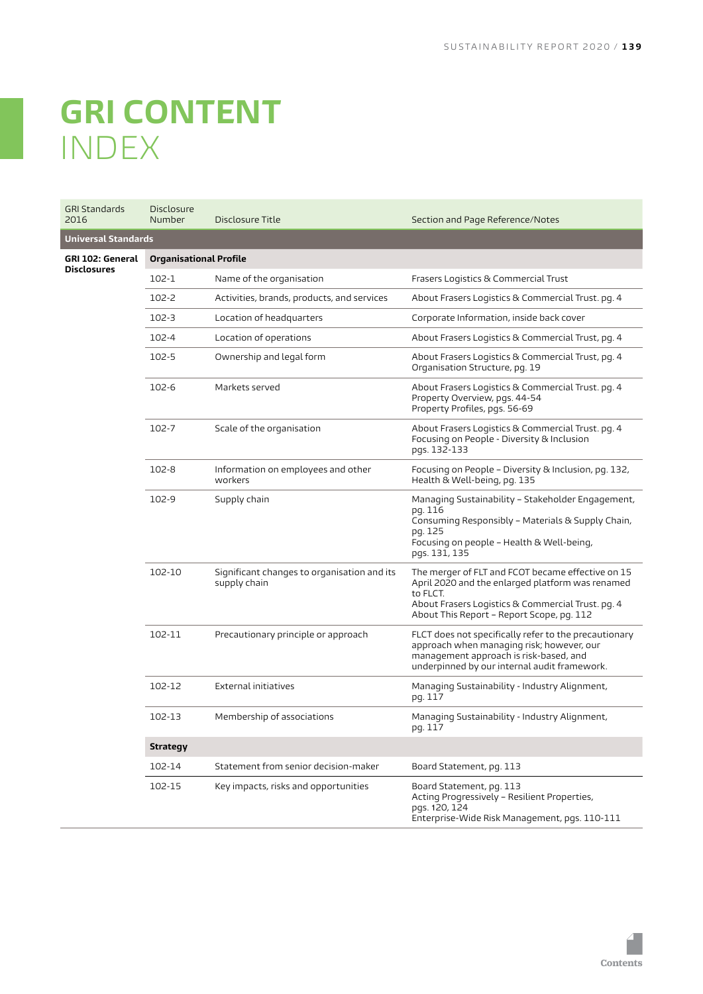# <span id="page-27-0"></span>**GRI CONTENT** INDEX

| <b>GRI Standards</b><br>2016 | <b>Disclosure</b><br>Number   | Disclosure Title                                            | Section and Page Reference/Notes                                                                                                                                                                                    |
|------------------------------|-------------------------------|-------------------------------------------------------------|---------------------------------------------------------------------------------------------------------------------------------------------------------------------------------------------------------------------|
| <b>Universal Standards</b>   |                               |                                                             |                                                                                                                                                                                                                     |
| GRI 102: General             | <b>Organisational Profile</b> |                                                             |                                                                                                                                                                                                                     |
| <b>Disclosures</b>           | $102 - 1$                     | Name of the organisation                                    | Frasers Logistics & Commercial Trust                                                                                                                                                                                |
|                              | 102-2                         | Activities, brands, products, and services                  | About Frasers Logistics & Commercial Trust. pg. 4                                                                                                                                                                   |
|                              | $102 - 3$                     | Location of headquarters                                    | Corporate Information, inside back cover                                                                                                                                                                            |
|                              | 102-4                         | Location of operations                                      | About Frasers Logistics & Commercial Trust, pg. 4                                                                                                                                                                   |
|                              | $102 - 5$                     | Ownership and legal form                                    | About Frasers Logistics & Commercial Trust, pg. 4<br>Organisation Structure, pg. 19                                                                                                                                 |
|                              | 102-6                         | Markets served                                              | About Frasers Logistics & Commercial Trust. pg. 4<br>Property Overview, pgs. 44-54<br>Property Profiles, pgs. 56-69                                                                                                 |
|                              | 102-7                         | Scale of the organisation                                   | About Frasers Logistics & Commercial Trust. pg. 4<br>Focusing on People - Diversity & Inclusion<br>pgs. 132-133                                                                                                     |
|                              | 102-8                         | Information on employees and other<br>workers               | Focusing on People - Diversity & Inclusion, pg. 132,<br>Health & Well-being, pg. 135                                                                                                                                |
|                              | 102-9                         | Supply chain                                                | Managing Sustainability – Stakeholder Engagement,<br>pg. 116<br>Consuming Responsibly - Materials & Supply Chain,<br>pg. 125<br>Focusing on people - Health & Well-being,<br>pgs. 131, 135                          |
|                              | 102-10                        | Significant changes to organisation and its<br>supply chain | The merger of FLT and FCOT became effective on 15<br>April 2020 and the enlarged platform was renamed<br>to FLCT.<br>About Frasers Logistics & Commercial Trust. pg. 4<br>About This Report - Report Scope, pg. 112 |
|                              | 102-11                        | Precautionary principle or approach                         | FLCT does not specifically refer to the precautionary<br>approach when managing risk; however, our<br>management approach is risk-based, and<br>underpinned by our internal audit framework.                        |
|                              | 102-12                        | External initiatives                                        | Managing Sustainability - Industry Alignment,<br>pg. 117                                                                                                                                                            |
|                              | 102-13                        | Membership of associations                                  | Managing Sustainability - Industry Alignment,<br>pg. 117                                                                                                                                                            |
|                              | <b>Strategy</b>               |                                                             |                                                                                                                                                                                                                     |
|                              | 102-14                        | Statement from senior decision-maker                        | Board Statement, pg. 113                                                                                                                                                                                            |
|                              | 102-15                        | Key impacts, risks and opportunities                        | Board Statement, pg. 113<br>Acting Progressively - Resilient Properties,<br>pgs. 120, 124<br>Enterprise-Wide Risk Management, pgs. 110-111                                                                          |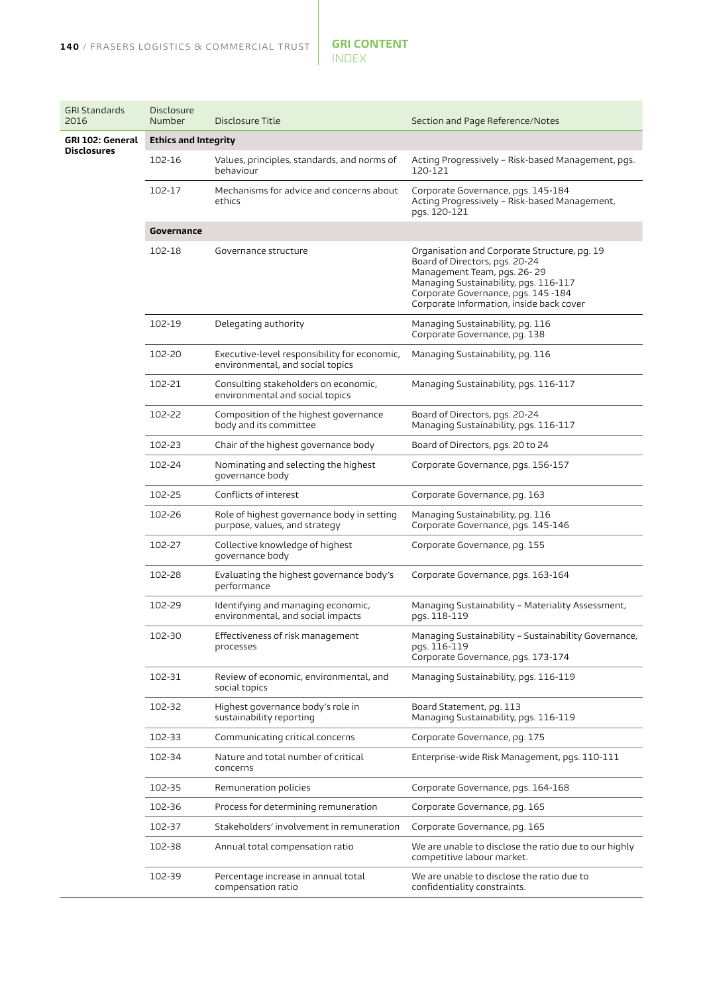| <b>GRI Standards</b><br>2016 | <b>Disclosure</b><br>Number | Disclosure Title                                                                 | Section and Page Reference/Notes                                                                                                                                                                                                          |
|------------------------------|-----------------------------|----------------------------------------------------------------------------------|-------------------------------------------------------------------------------------------------------------------------------------------------------------------------------------------------------------------------------------------|
| GRI 102: General             | <b>Ethics and Integrity</b> |                                                                                  |                                                                                                                                                                                                                                           |
| <b>Disclosures</b>           | 102-16                      | Values, principles, standards, and norms of<br>behaviour                         | Acting Progressively - Risk-based Management, pgs.<br>120-121                                                                                                                                                                             |
|                              | 102-17                      | Mechanisms for advice and concerns about<br>ethics                               | Corporate Governance, pgs. 145-184<br>Acting Progressively - Risk-based Management,<br>pgs. 120-121                                                                                                                                       |
|                              | Governance                  |                                                                                  |                                                                                                                                                                                                                                           |
|                              | 102-18                      | Governance structure                                                             | Organisation and Corporate Structure, pg. 19<br>Board of Directors, pgs. 20-24<br>Management Team, pgs. 26-29<br>Managing Sustainability, pgs. 116-117<br>Corporate Governance, pgs. 145 -184<br>Corporate Information, inside back cover |
|                              | 102-19                      | Delegating authority                                                             | Managing Sustainability, pg. 116<br>Corporate Governance, pg. 138                                                                                                                                                                         |
|                              | 102-20                      | Executive-level responsibility for economic,<br>environmental, and social topics | Managing Sustainability, pg. 116                                                                                                                                                                                                          |
|                              | 102-21                      | Consulting stakeholders on economic,<br>environmental and social topics          | Managing Sustainability, pgs. 116-117                                                                                                                                                                                                     |
|                              | 102-22                      | Composition of the highest governance<br>body and its committee                  | Board of Directors, pgs. 20-24<br>Managing Sustainability, pgs. 116-117                                                                                                                                                                   |
|                              | 102-23                      | Chair of the highest governance body                                             | Board of Directors, pgs. 20 to 24                                                                                                                                                                                                         |
|                              | 102-24                      | Nominating and selecting the highest<br>governance body                          | Corporate Governance, pgs. 156-157                                                                                                                                                                                                        |
|                              | 102-25                      | Conflicts of interest                                                            | Corporate Governance, pg. 163                                                                                                                                                                                                             |
|                              | 102-26                      | Role of highest governance body in setting<br>purpose, values, and strategy      | Managing Sustainability, pg. 116<br>Corporate Governance, pgs. 145-146                                                                                                                                                                    |
|                              | 102-27                      | Collective knowledge of highest<br>governance body                               | Corporate Governance, pg. 155                                                                                                                                                                                                             |
|                              | 102-28                      | Evaluating the highest governance body's<br>performance                          | Corporate Governance, pgs. 163-164                                                                                                                                                                                                        |
|                              | 102-29                      | Identifying and managing economic,<br>environmental, and social impacts          | Managing Sustainability - Materiality Assessment,<br>pgs. 118-119                                                                                                                                                                         |
|                              | 102-30                      | Effectiveness of risk management<br>processes                                    | Managing Sustainability - Sustainability Governance,<br>pgs. 116-119<br>Corporate Governance, pgs. 173-174                                                                                                                                |
|                              | 102-31                      | Review of economic, environmental, and<br>social topics                          | Managing Sustainability, pgs. 116-119                                                                                                                                                                                                     |
|                              | 102-32                      | Highest governance body's role in<br>sustainability reporting                    | Board Statement, pg. 113<br>Managing Sustainability, pgs. 116-119                                                                                                                                                                         |
|                              | 102-33                      | Communicating critical concerns                                                  | Corporate Governance, pg. 175                                                                                                                                                                                                             |
|                              | 102-34                      | Nature and total number of critical<br>concerns                                  | Enterprise-wide Risk Management, pgs. 110-111                                                                                                                                                                                             |
|                              | 102-35                      | Remuneration policies                                                            | Corporate Governance, pgs. 164-168                                                                                                                                                                                                        |
|                              | 102-36                      | Process for determining remuneration                                             | Corporate Governance, pg. 165                                                                                                                                                                                                             |
|                              | 102-37                      | Stakeholders' involvement in remuneration                                        | Corporate Governance, pg. 165                                                                                                                                                                                                             |
|                              | 102-38                      | Annual total compensation ratio                                                  | We are unable to disclose the ratio due to our highly<br>competitive labour market.                                                                                                                                                       |
|                              | 102-39                      | Percentage increase in annual total<br>compensation ratio                        | We are unable to disclose the ratio due to<br>confidentiality constraints.                                                                                                                                                                |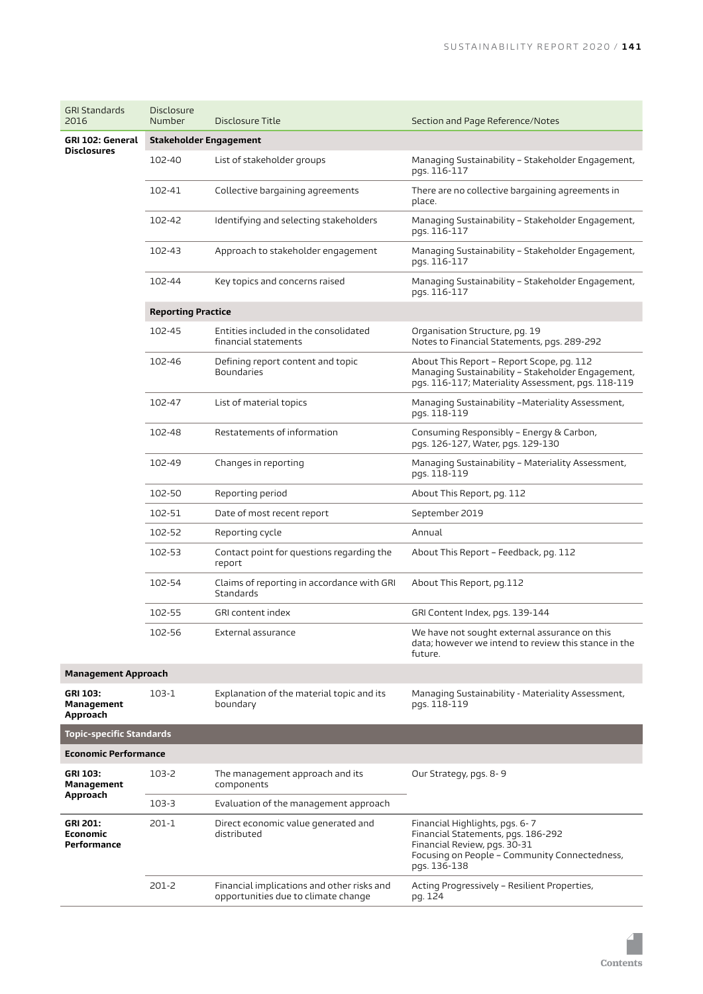| <b>GRI Standards</b><br>2016                      | Disclosure<br>Number      | Disclosure Title                                                                  | Section and Page Reference/Notes                                                                                                                                      |
|---------------------------------------------------|---------------------------|-----------------------------------------------------------------------------------|-----------------------------------------------------------------------------------------------------------------------------------------------------------------------|
| GRI 102: General                                  | Stakeholder Engagement    |                                                                                   |                                                                                                                                                                       |
| <b>Disclosures</b>                                | 102-40                    | List of stakeholder groups                                                        | Managing Sustainability - Stakeholder Engagement,<br>pgs. 116-117                                                                                                     |
|                                                   | 102-41                    | Collective bargaining agreements                                                  | There are no collective bargaining agreements in<br>place.                                                                                                            |
|                                                   | 102-42                    | Identifying and selecting stakeholders                                            | Managing Sustainability - Stakeholder Engagement,<br>pgs. 116-117                                                                                                     |
|                                                   | 102-43                    | Approach to stakeholder engagement                                                | Managing Sustainability - Stakeholder Engagement,<br>pgs. 116-117                                                                                                     |
|                                                   | 102-44                    | Key topics and concerns raised                                                    | Managing Sustainability – Stakeholder Engagement,<br>pgs. 116-117                                                                                                     |
|                                                   | <b>Reporting Practice</b> |                                                                                   |                                                                                                                                                                       |
|                                                   | 102-45                    | Entities included in the consolidated<br>financial statements                     | Organisation Structure, pg. 19<br>Notes to Financial Statements, pgs. 289-292                                                                                         |
|                                                   | 102-46                    | Defining report content and topic<br><b>Boundaries</b>                            | About This Report - Report Scope, pg. 112<br>Managing Sustainability - Stakeholder Engagement,<br>pgs. 116-117; Materiality Assessment, pgs. 118-119                  |
|                                                   | 102-47                    | List of material topics                                                           | Managing Sustainability –Materiality Assessment,<br>pgs. 118-119                                                                                                      |
|                                                   | 102-48                    | Restatements of information                                                       | Consuming Responsibly - Energy & Carbon,<br>pgs. 126-127, Water, pgs. 129-130                                                                                         |
|                                                   | 102-49                    | Changes in reporting                                                              | Managing Sustainability – Materiality Assessment,<br>pgs. 118-119                                                                                                     |
|                                                   | 102-50                    | Reporting period                                                                  | About This Report, pg. 112                                                                                                                                            |
|                                                   | 102-51                    | Date of most recent report                                                        | September 2019                                                                                                                                                        |
|                                                   | 102-52                    | Reporting cycle                                                                   | Annual                                                                                                                                                                |
|                                                   | 102-53                    | Contact point for questions regarding the<br>report                               | About This Report - Feedback, pg. 112                                                                                                                                 |
|                                                   | 102-54                    | Claims of reporting in accordance with GRI<br>Standards                           | About This Report, pg.112                                                                                                                                             |
|                                                   | 102-55                    | GRI content index                                                                 | GRI Content Index, pgs. 139-144                                                                                                                                       |
|                                                   | 102-56                    | External assurance                                                                | We have not sought external assurance on this<br>data; however we intend to review this stance in the<br>future.                                                      |
| <b>Management Approach</b>                        |                           |                                                                                   |                                                                                                                                                                       |
| GRI 103:<br>Management<br>Approach                | 103-1                     | Explanation of the material topic and its<br>boundary                             | Managing Sustainability - Materiality Assessment,<br>pgs. 118-119                                                                                                     |
| <b>Topic-specific Standards</b>                   |                           |                                                                                   |                                                                                                                                                                       |
| <b>Economic Performance</b>                       |                           |                                                                                   |                                                                                                                                                                       |
| GRI 103:<br>Management                            | 103-2                     | The management approach and its<br>components                                     | Our Strategy, pgs. 8-9                                                                                                                                                |
| Approach                                          | $103 - 3$                 | Evaluation of the management approach                                             |                                                                                                                                                                       |
| <b>GRI 201:</b><br><b>Economic</b><br>Performance | $201-1$                   | Direct economic value generated and<br>distributed                                | Financial Highlights, pgs. 6-7<br>Financial Statements, pgs. 186-292<br>Financial Review, pgs. 30-31<br>Focusing on People - Community Connectedness,<br>pgs. 136-138 |
|                                                   | 201-2                     | Financial implications and other risks and<br>opportunities due to climate change | Acting Progressively - Resilient Properties,<br>pg. 124                                                                                                               |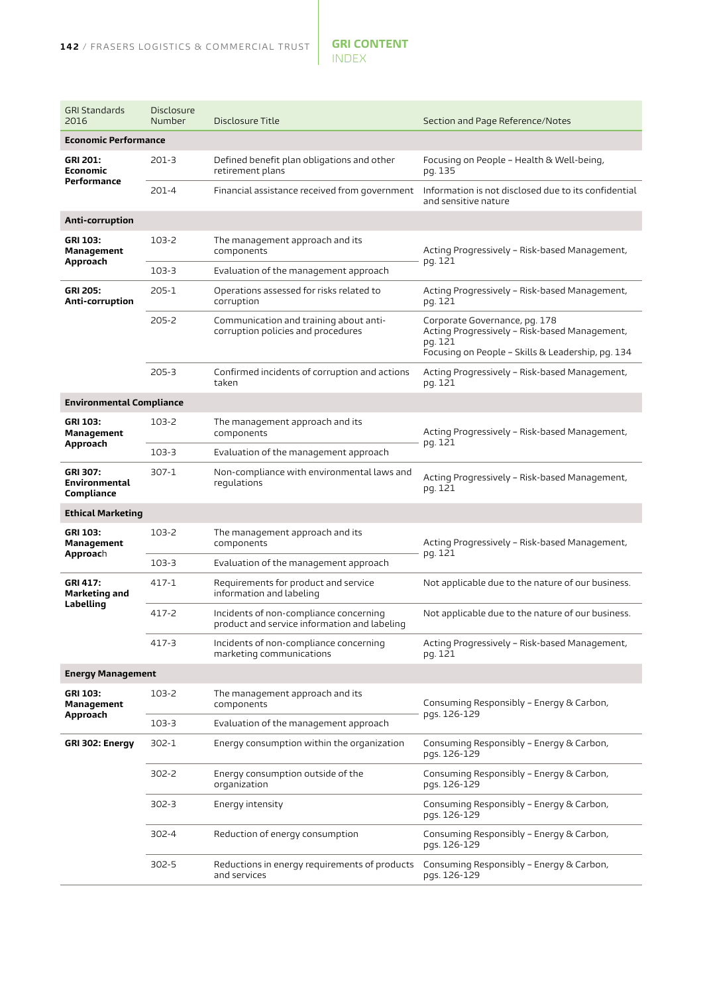| <b>GRI Standards</b><br>2016                         | <b>Disclosure</b><br>Number | Disclosure Title                                                                       | Section and Page Reference/Notes                                                                                                               |
|------------------------------------------------------|-----------------------------|----------------------------------------------------------------------------------------|------------------------------------------------------------------------------------------------------------------------------------------------|
| <b>Economic Performance</b>                          |                             |                                                                                        |                                                                                                                                                |
| <b>GRI 201:</b><br><b>Economic</b><br>Performance    | $201-3$                     | Defined benefit plan obligations and other<br>retirement plans                         | Focusing on People – Health & Well-being,<br>pg. 135                                                                                           |
|                                                      | 201-4                       | Financial assistance received from government                                          | Information is not disclosed due to its confidential<br>and sensitive nature                                                                   |
| Anti-corruption                                      |                             |                                                                                        |                                                                                                                                                |
| GRI 103:<br>Management<br>Approach                   | 103-2                       | The management approach and its<br>components                                          | Acting Progressively – Risk-based Management,<br>pg. 121                                                                                       |
|                                                      | 103-3                       | Evaluation of the management approach                                                  |                                                                                                                                                |
| <b>GRI 205:</b><br>Anti-corruption                   | 205-1                       | Operations assessed for risks related to<br>corruption                                 | Acting Progressively - Risk-based Management,<br>pg. 121                                                                                       |
|                                                      | 205-2                       | Communication and training about anti-<br>corruption policies and procedures           | Corporate Governance, pg. 178<br>Acting Progressively - Risk-based Management,<br>pg. 121<br>Focusing on People - Skills & Leadership, pg. 134 |
|                                                      | $205 - 3$                   | Confirmed incidents of corruption and actions<br>taken                                 | Acting Progressively - Risk-based Management,<br>pg. 121                                                                                       |
| <b>Environmental Compliance</b>                      |                             |                                                                                        |                                                                                                                                                |
| GRI 103:<br>Management<br>Approach                   | 103-2                       | The management approach and its<br>components                                          | Acting Progressively - Risk-based Management,<br>pg. 121                                                                                       |
|                                                      | 103-3                       | Evaluation of the management approach                                                  |                                                                                                                                                |
| <b>GRI 307:</b><br>Environmental<br>Compliance       | 307-1                       | Non-compliance with environmental laws and<br>requlations                              | Acting Progressively - Risk-based Management,<br>pg. 121                                                                                       |
| <b>Ethical Marketing</b>                             |                             |                                                                                        |                                                                                                                                                |
| GRI 103:<br>Management<br>Approach                   | 103-2                       | The management approach and its<br>components                                          | Acting Progressively - Risk-based Management,<br>pg. 121                                                                                       |
|                                                      | 103-3                       | Evaluation of the management approach                                                  |                                                                                                                                                |
| <b>GRI 417:</b><br><b>Marketing and</b><br>Labelling | 417-1                       | Requirements for product and service<br>information and labeling                       | Not applicable due to the nature of our business.                                                                                              |
|                                                      | 417-2                       | Incidents of non-compliance concerning<br>product and service information and labeling | Not applicable due to the nature of our business.                                                                                              |
|                                                      | 417-3                       | Incidents of non-compliance concerning<br>marketing communications                     | Acting Progressively - Risk-based Management,<br>pg. 121                                                                                       |
| <b>Energy Management</b>                             |                             |                                                                                        |                                                                                                                                                |
| GRI 103:<br>Management<br>Approach                   | 103-2                       | The management approach and its<br>components                                          | Consuming Responsibly - Energy & Carbon,<br>pgs. 126-129                                                                                       |
|                                                      | 103-3                       | Evaluation of the management approach                                                  |                                                                                                                                                |
| GRI 302: Energy                                      | 302-1                       | Energy consumption within the organization                                             | Consuming Responsibly - Energy & Carbon,<br>pgs. 126-129                                                                                       |
|                                                      | 302-2                       | Energy consumption outside of the<br>organization                                      | Consuming Responsibly - Energy & Carbon,<br>pgs. 126-129                                                                                       |
|                                                      | 302-3                       | Energy intensity                                                                       | Consuming Responsibly - Energy & Carbon,<br>pgs. 126-129                                                                                       |
|                                                      | 302-4                       | Reduction of energy consumption                                                        | Consuming Responsibly - Energy & Carbon,<br>pgs. 126-129                                                                                       |
|                                                      | 302-5                       | Reductions in energy requirements of products<br>and services                          | Consuming Responsibly - Energy & Carbon,<br>pgs. 126-129                                                                                       |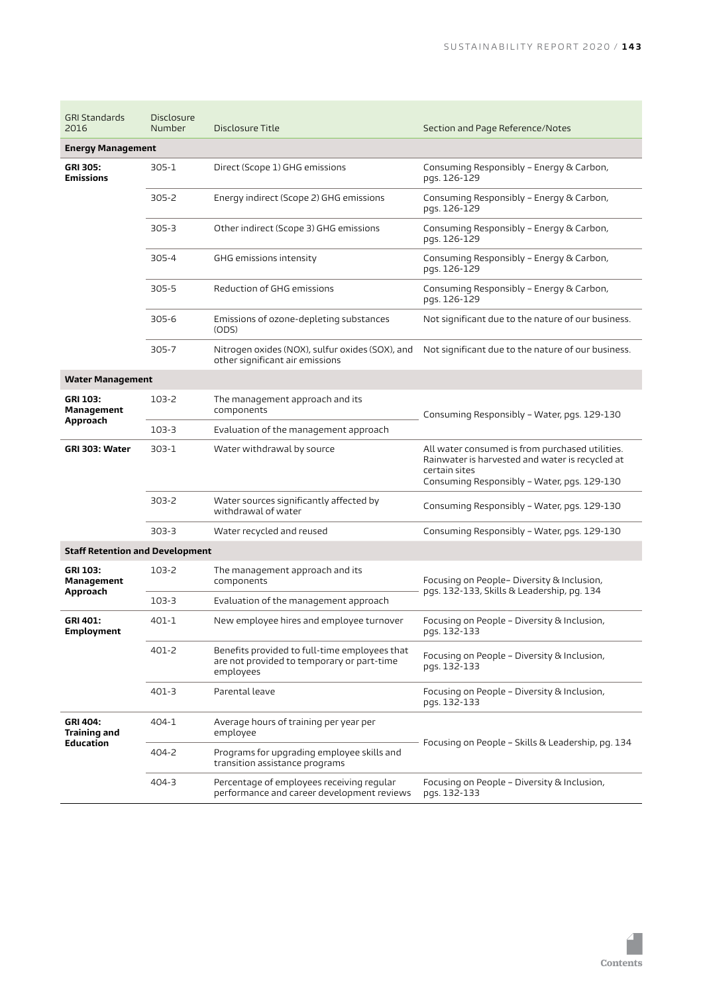| <b>GRI Standards</b><br>2016           | <b>Disclosure</b><br>Number | Disclosure Title                                                                                         | Section and Page Reference/Notes                                                                                                                                   |
|----------------------------------------|-----------------------------|----------------------------------------------------------------------------------------------------------|--------------------------------------------------------------------------------------------------------------------------------------------------------------------|
| <b>Energy Management</b>               |                             |                                                                                                          |                                                                                                                                                                    |
| GRI 305:<br>Emissions                  | $305 - 1$                   | Direct (Scope 1) GHG emissions                                                                           | Consuming Responsibly - Energy & Carbon,<br>pgs. 126-129                                                                                                           |
|                                        | $305 - 2$                   | Energy indirect (Scope 2) GHG emissions                                                                  | Consuming Responsibly - Energy & Carbon,<br>pgs. 126-129                                                                                                           |
|                                        | $305 - 3$                   | Other indirect (Scope 3) GHG emissions                                                                   | Consuming Responsibly - Energy & Carbon,<br>pgs. 126-129                                                                                                           |
|                                        | 305-4                       | GHG emissions intensity                                                                                  | Consuming Responsibly - Energy & Carbon,<br>pgs. 126-129                                                                                                           |
|                                        | 305-5                       | Reduction of GHG emissions                                                                               | Consuming Responsibly - Energy & Carbon,<br>pgs. 126-129                                                                                                           |
|                                        | $305 - 6$                   | Emissions of ozone-depleting substances<br>(ODS)                                                         | Not significant due to the nature of our business.                                                                                                                 |
|                                        | 305-7                       | Nitrogen oxides (NOX), sulfur oxides (SOX), and<br>other significant air emissions                       | Not significant due to the nature of our business.                                                                                                                 |
| <b>Water Management</b>                |                             |                                                                                                          |                                                                                                                                                                    |
| GRI 103:<br>Management<br>Approach     | 103-2                       | The management approach and its<br>components                                                            | Consuming Responsibly - Water, pgs. 129-130                                                                                                                        |
|                                        | 103-3                       | Evaluation of the management approach                                                                    |                                                                                                                                                                    |
| GRI 303: Water                         | 303-1                       | Water withdrawal by source                                                                               | All water consumed is from purchased utilities.<br>Rainwater is harvested and water is recycled at<br>certain sites<br>Consuming Responsibly - Water, pgs. 129-130 |
|                                        | 303-2                       | Water sources significantly affected by<br>withdrawal of water                                           | Consuming Responsibly - Water, pgs. 129-130                                                                                                                        |
|                                        | $303 - 3$                   | Water recycled and reused                                                                                | Consuming Responsibly - Water, pgs. 129-130                                                                                                                        |
| <b>Staff Retention and Development</b> |                             |                                                                                                          |                                                                                                                                                                    |
| GRI 103:<br>Management<br>Approach     | 103-2                       | The management approach and its<br>components                                                            | Focusing on People- Diversity & Inclusion,<br>pgs. 132-133, Skills & Leadership, pg. 134                                                                           |
|                                        | 103-3                       | Evaluation of the management approach                                                                    |                                                                                                                                                                    |
| GRI 401:<br>Employment                 | $401 - 1$                   | New employee hires and employee turnover                                                                 | Focusing on People – Diversity & Inclusion,<br>pgs. 132-133                                                                                                        |
|                                        | 401-2                       | Benefits provided to full-time employees that<br>are not provided to temporary or part-time<br>employees | Focusing on People - Diversity & Inclusion,<br>pgs. 132-133                                                                                                        |
|                                        | 401-3                       | Parental leave                                                                                           | Focusing on People - Diversity & Inclusion,<br>pgs. 132-133                                                                                                        |
| GRI 404:<br>Training and<br>Education  | 404-1                       | Average hours of training per year per<br>employee                                                       | Focusing on People - Skills & Leadership, pg. 134                                                                                                                  |
|                                        | 404-2                       | Programs for upgrading employee skills and<br>transition assistance programs                             |                                                                                                                                                                    |
|                                        | 404-3                       | Percentage of employees receiving regular<br>performance and career development reviews                  | Focusing on People – Diversity & Inclusion,<br>pgs. 132-133                                                                                                        |